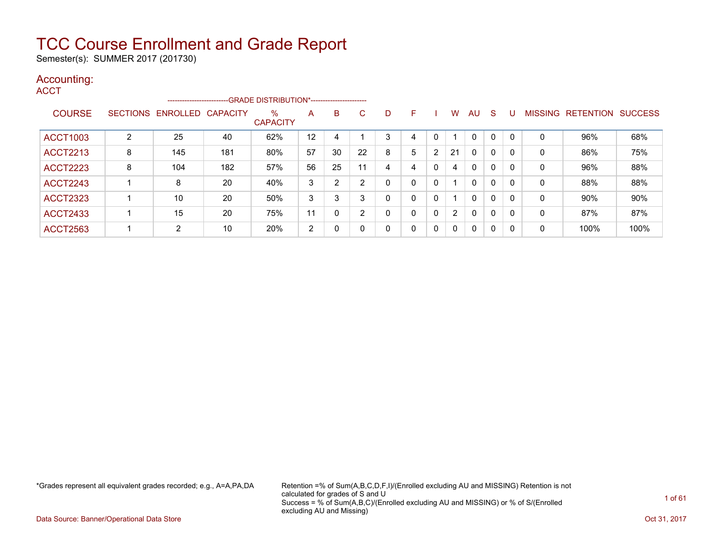Semester(s): SUMMER 2017 (201730)

#### Accounting: **ACCT**

|                 |   | -----------------------    |     | -GRADE DISTRIBUTION*----------------------- |    |                |    |              |   |          |                |     |   |              |             |                  |                |
|-----------------|---|----------------------------|-----|---------------------------------------------|----|----------------|----|--------------|---|----------|----------------|-----|---|--------------|-------------|------------------|----------------|
| <b>COURSE</b>   |   | SECTIONS ENROLLED CAPACITY |     | %<br><b>CAPACITY</b>                        | A  | B              | C. |              | F |          | w              | AU. | S |              | MISSING     | <b>RETENTION</b> | <b>SUCCESS</b> |
| ACCT1003        | 2 | 25                         | 40  | 62%                                         | 12 | 4              |    | 3            | 4 | 0        |                | 0   | 0 | $\mathbf{0}$ | 0           | 96%              | 68%            |
| <b>ACCT2213</b> | 8 | 145                        | 181 | 80%                                         | 57 | 30             | 22 | 8            | 5 | 2        | 21             | 0   | 0 | 0            | 0           | 86%              | 75%            |
| <b>ACCT2223</b> | 8 | 104                        | 182 | 57%                                         | 56 | 25             | 11 | 4            | 4 | 0        | 4              | 0   | 0 | 0            | 0           | 96%              | 88%            |
| <b>ACCT2243</b> |   | 8                          | 20  | 40%                                         | 3  | $\overline{2}$ | 2  | $\Omega$     |   | 0        |                | 0   | 0 | 0            | 0           | 88%              | 88%            |
| <b>ACCT2323</b> |   | 10                         | 20  | 50%                                         | 3  | 3              | 3  |              |   | 0        |                | 0   | 0 | 0            | 0           | 90%              | 90%            |
| <b>ACCT2433</b> |   | 15                         | 20  | 75%                                         | 11 | 0              | 2  | $\Omega$     |   | 0        | $\overline{2}$ | 0   | 0 | 0            | $\mathbf 0$ | 87%              | 87%            |
| <b>ACCT2563</b> |   | 2                          | 10  | 20%                                         | 2  | 0              | 0  | $\mathbf{0}$ |   | $\Omega$ | $\mathbf{0}$   | 0   | 0 | 0            | 0           | 100%             | 100%           |

\*Grades represent all equivalent grades recorded; e.g., A=A,PA,DA Retention =% of Sum(A,B,C,D,F,I)/(Enrolled excluding AU and MISSING) Retention is not calculated for grades of S and U Success = % of Sum(A,B,C)/(Enrolled excluding AU and MISSING) or % of S/(Enrolled excluding AU and Missing)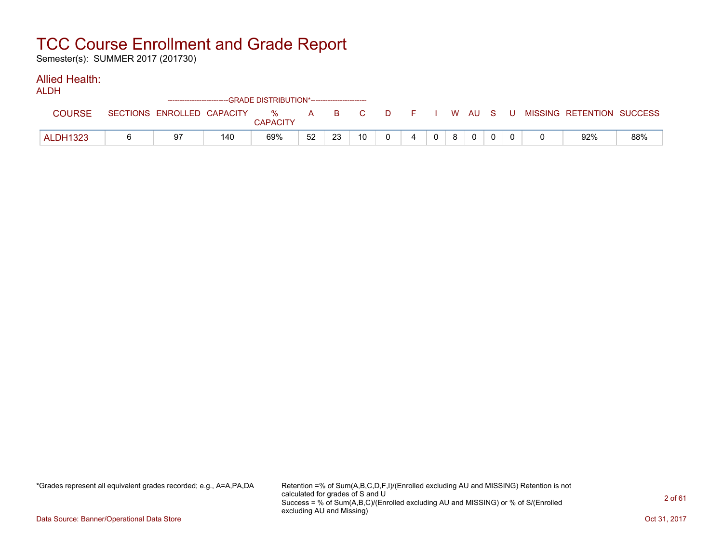Semester(s): SUMMER 2017 (201730)

#### Allied Health:

|                 |                            | ------------------------GRADE DISTRIBUTION*----------------------- |               |    |    |                 |     |              |   |  |    |                           |     |
|-----------------|----------------------------|--------------------------------------------------------------------|---------------|----|----|-----------------|-----|--------------|---|--|----|---------------------------|-----|
| <b>COURSE</b>   | SECTIONS ENROLLED CAPACITY |                                                                    | %<br>CAPACITY | A  |    | BC.             | D F | I W AU S '   |   |  | -U | MISSING RETENTION SUCCESS |     |
| <b>ALDH1323</b> | 97                         | 140                                                                | 69%           | 52 | 23 | 10 <sup>1</sup> |     | $\mathbf{0}$ | 8 |  |    | 92%                       | 88% |

\*Grades represent all equivalent grades recorded; e.g., A=A,PA,DA Retention =% of Sum(A,B,C,D,F,I)/(Enrolled excluding AU and MISSING) Retention is not calculated for grades of S and U Success = % of Sum(A,B,C)/(Enrolled excluding AU and MISSING) or % of S/(Enrolled excluding AU and Missing)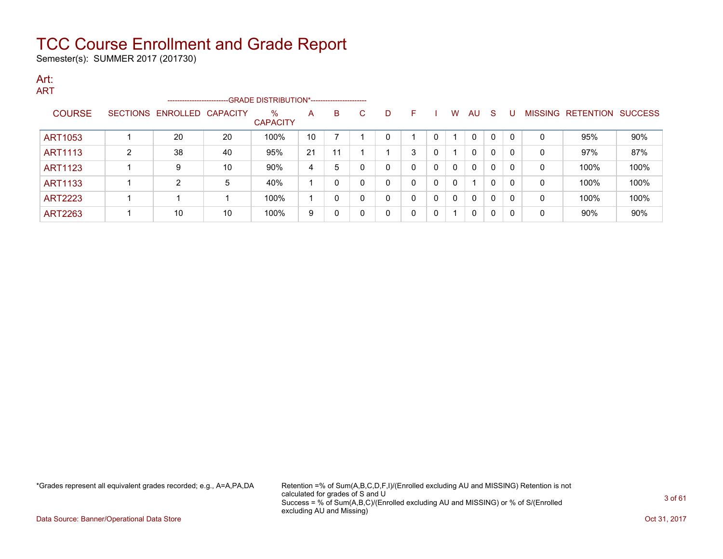Semester(s): SUMMER 2017 (201730)

#### Art: **ADT**

| AN I           |   | -----------------------    |    | -- GRADE DISTRIBUTION*------------------------ |    |    |    |   |              |              |              |              |          |          |              |                                  |      |
|----------------|---|----------------------------|----|------------------------------------------------|----|----|----|---|--------------|--------------|--------------|--------------|----------|----------|--------------|----------------------------------|------|
| <b>COURSE</b>  |   | SECTIONS ENROLLED CAPACITY |    | $\%$<br><b>CAPACITY</b>                        | A  | B. | C. | D | F            |              | W            | AU           | - S      |          |              | <b>MISSING RETENTION SUCCESS</b> |      |
| ART1053        |   | 20                         | 20 | 100%                                           | 10 |    |    | 0 |              | 0            |              | $\mathbf{0}$ | $\Omega$ | $\Omega$ | $\mathbf{0}$ | 95%                              | 90%  |
| ART1113        | 2 | 38                         | 40 | 95%                                            | 21 | 11 |    |   | 3            | 0            |              | $\mathbf{0}$ | $\Omega$ | $\Omega$ | 0            | 97%                              | 87%  |
| <b>ART1123</b> |   | 9                          | 10 | 90%                                            | 4  | 5  |    | 0 | 0            | $\mathbf{0}$ | $\mathbf{0}$ | $\mathbf{0}$ | $\Omega$ | $\Omega$ | 0            | 100%                             | 100% |
| <b>ART1133</b> |   | $\mathcal{P}$              | 5  | 40%                                            |    |    |    | 0 | $\mathbf{0}$ | $\Omega$     | 0            | 1            | $\Omega$ | $\Omega$ | 0            | 100%                             | 100% |
| <b>ART2223</b> |   |                            |    | 100%                                           |    |    |    | 0 | $\Omega$     | $\Omega$     | $\mathbf{0}$ | $\mathbf{0}$ | 0        | $\Omega$ | 0            | 100%                             | 100% |
| <b>ART2263</b> |   | 10                         | 10 | 100%                                           | 9  |    |    | 0 | $\Omega$     | $\Omega$     |              | $\Omega$     | $\Omega$ | $\Omega$ | 0            | 90%                              | 90%  |

\*Grades represent all equivalent grades recorded; e.g., A=A,PA,DA Retention =% of Sum(A,B,C,D,F,I)/(Enrolled excluding AU and MISSING) Retention is not calculated for grades of S and U Success = % of Sum(A,B,C)/(Enrolled excluding AU and MISSING) or % of S/(Enrolled excluding AU and Missing)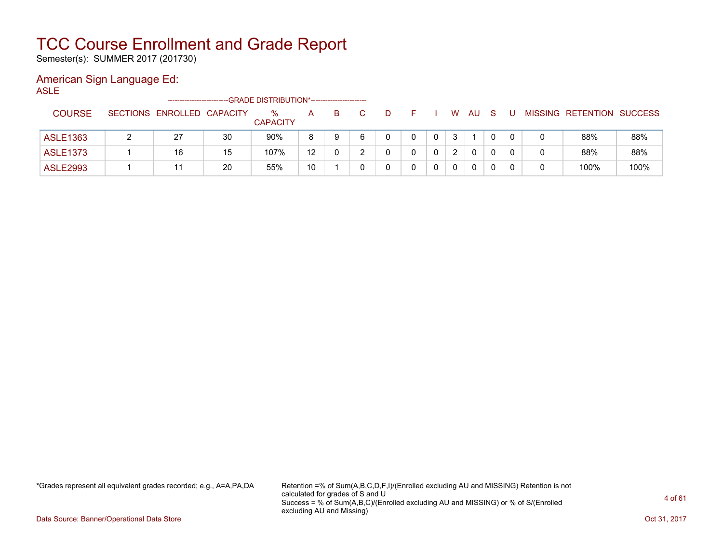Semester(s): SUMMER 2017 (201730)

### American Sign Language Ed:

ASLE

|                 |                            |    | -GRADE DISTRIBUTION*----------------------- |    |    |  |   |               |              |  |                           |      |
|-----------------|----------------------------|----|---------------------------------------------|----|----|--|---|---------------|--------------|--|---------------------------|------|
| <b>COURSE</b>   | SECTIONS ENROLLED CAPACITY |    | $\%$<br><b>CAPACITY</b>                     | А  | B. |  |   | W             | AU           |  | MISSING RETENTION SUCCESS |      |
| ASLE1363        | 27                         | 30 | 90%                                         | 8  | 9  |  | 0 | 3             |              |  | 88%                       | 88%  |
| <b>ASLE1373</b> | 16                         | 15 | 107%                                        | 12 | 0  |  |   | $\mathcal{D}$ | $\mathbf{0}$ |  | 88%                       | 88%  |
| <b>ASLE2993</b> |                            | 20 | 55%                                         | 10 |    |  |   | 0             | 0            |  | 100%                      | 100% |

\*Grades represent all equivalent grades recorded; e.g., A=A,PA,DA Retention =% of Sum(A,B,C,D,F,I)/(Enrolled excluding AU and MISSING) Retention is not calculated for grades of S and U Success = % of Sum(A,B,C)/(Enrolled excluding AU and MISSING) or % of S/(Enrolled excluding AU and Missing)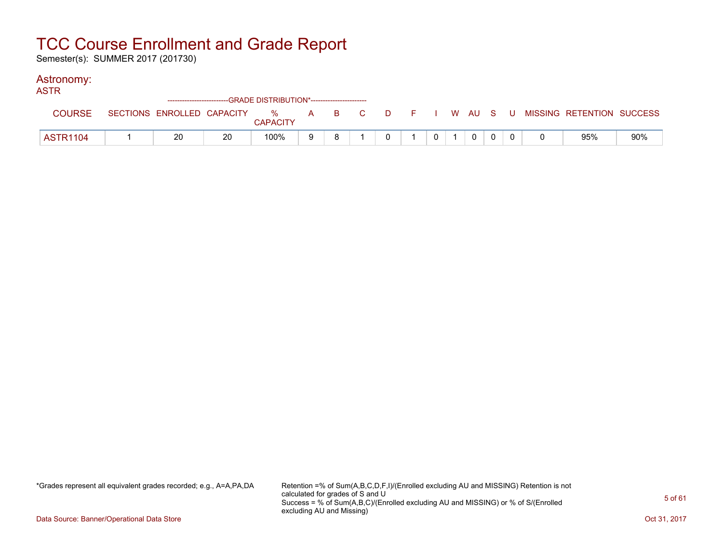Semester(s): SUMMER 2017 (201730)

#### Astronomy:

| ASTR            |    |    |                 |    |    |  |                |          |  |                                                                               |     |
|-----------------|----|----|-----------------|----|----|--|----------------|----------|--|-------------------------------------------------------------------------------|-----|
| <b>COURSE</b>   |    |    | <b>CAPACITY</b> |    |    |  |                |          |  | SECTIONS ENROLLED CAPACITY 5 % A B C D F I W AU S U MISSING RETENTION SUCCESS |     |
| <b>ASTR1104</b> | 20 | 20 | 100%            | -9 | R. |  | 0 <sup>1</sup> | $\Omega$ |  | 95%                                                                           | 90% |

\*Grades represent all equivalent grades recorded; e.g., A=A,PA,DA Retention =% of Sum(A,B,C,D,F,I)/(Enrolled excluding AU and MISSING) Retention is not calculated for grades of S and U Success = % of Sum(A,B,C)/(Enrolled excluding AU and MISSING) or % of S/(Enrolled excluding AU and Missing)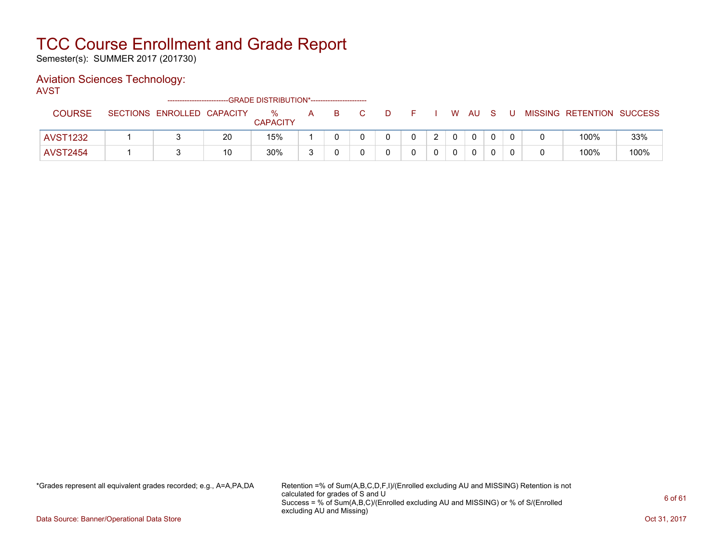Semester(s): SUMMER 2017 (201730)

#### Aviation Sciences Technology:

AVST

|                 |                            |    | ------------------------GRADE DISTRIBUTION*----------------------- |   |    |    |   |   |                |              |    |     |                           |      |
|-----------------|----------------------------|----|--------------------------------------------------------------------|---|----|----|---|---|----------------|--------------|----|-----|---------------------------|------|
| <b>COURSE</b>   | SECTIONS ENROLLED CAPACITY |    | $\%$<br><b>CAPACITY</b>                                            | A | B. | D. |   |   |                | W AU         | S. | . U | MISSING RETENTION SUCCESS |      |
|                 |                            |    |                                                                    |   |    |    |   |   |                |              |    |     |                           |      |
| <b>AVST1232</b> |                            | 20 | 15%                                                                |   |    |    | 0 | ົ | $\overline{0}$ | $\mathbf{0}$ |    |     | 100%                      | 33%  |
| <b>AVST2454</b> |                            | 10 | 30%                                                                |   |    |    |   |   |                | 0            |    |     | 100%                      | 100% |

\*Grades represent all equivalent grades recorded; e.g., A=A,PA,DA Retention =% of Sum(A,B,C,D,F,I)/(Enrolled excluding AU and MISSING) Retention is not calculated for grades of S and U Success = % of Sum(A,B,C)/(Enrolled excluding AU and MISSING) or % of S/(Enrolled excluding AU and Missing)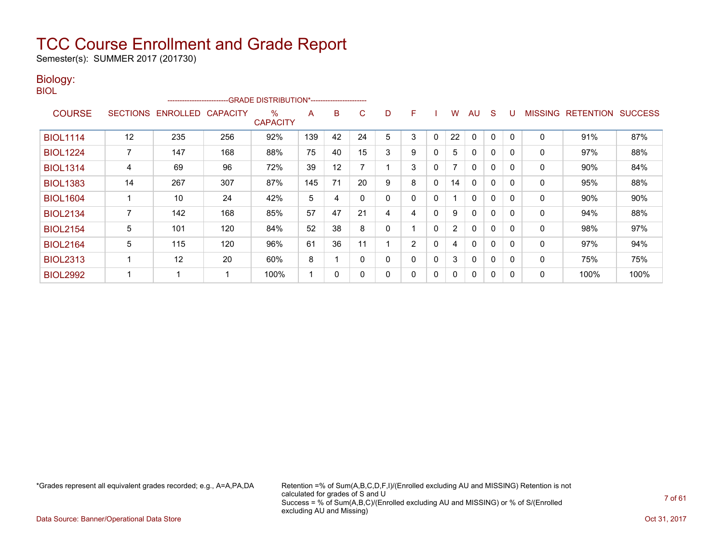Semester(s): SUMMER 2017 (201730)

#### Biology: BIOL

|                 |                 |                   | ------------------------GRADE                DISTRIBUTION*---------------------- |                         |     |    |              |   |   |              |    |              |              |          |                |                  |                |
|-----------------|-----------------|-------------------|----------------------------------------------------------------------------------|-------------------------|-----|----|--------------|---|---|--------------|----|--------------|--------------|----------|----------------|------------------|----------------|
| <b>COURSE</b>   | <b>SECTIONS</b> | ENROLLED CAPACITY |                                                                                  | $\%$<br><b>CAPACITY</b> | A   | B  | C            | D | F |              | W  | AU           | S            | U        | <b>MISSING</b> | <b>RETENTION</b> | <b>SUCCESS</b> |
| <b>BIOL1114</b> | 12              | 235               | 256                                                                              | 92%                     | 139 | 42 | 24           | 5 | 3 | $\mathbf{0}$ | 22 | $\mathbf{0}$ | $\mathbf{0}$ | 0        | $\mathbf{0}$   | 91%              | 87%            |
| <b>BIOL1224</b> |                 | 147               | 168                                                                              | 88%                     | 75  | 40 | 15           | 3 | 9 | $\mathbf{0}$ | 5  | $\mathbf{0}$ | $\mathbf{0}$ | $\Omega$ | 0              | 97%              | 88%            |
| <b>BIOL1314</b> | 4               | 69                | 96                                                                               | 72%                     | 39  | 12 |              |   | 3 | 0            |    | 0            | 0            | 0        | 0              | 90%              | 84%            |
| <b>BIOL1383</b> | 14              | 267               | 307                                                                              | 87%                     | 145 | 71 | 20           | 9 | 8 | $\mathbf{0}$ | 14 | 0            | $\mathbf 0$  | 0        | 0              | 95%              | 88%            |
| <b>BIOL1604</b> |                 | 10                | 24                                                                               | 42%                     | 5   | 4  | 0            | 0 |   | $\mathbf{0}$ |    | 0            | $\mathbf{0}$ | 0        | $\mathbf{0}$   | 90%              | 90%            |
| <b>BIOL2134</b> |                 | 142               | 168                                                                              | 85%                     | 57  | 47 | 21           | 4 | 4 | $\mathbf{0}$ | 9  | 0            | $\mathbf{0}$ | 0        | 0              | 94%              | 88%            |
| <b>BIOL2154</b> | 5               | 101               | 120                                                                              | 84%                     | 52  | 38 | 8            | 0 |   | $\mathbf{0}$ | 2  | $\mathbf{0}$ | 0            | 0        | 0              | 98%              | 97%            |
| <b>BIOL2164</b> | 5               | 115               | 120                                                                              | 96%                     | 61  | 36 | 11           |   | 2 | $\mathbf{0}$ | 4  | $\mathbf{0}$ | 0            | 0        | 0              | 97%              | 94%            |
| <b>BIOL2313</b> |                 | 12                | 20                                                                               | 60%                     | 8   |    | $\mathbf{0}$ | 0 |   | $\mathbf{0}$ | 3  | $\mathbf{0}$ | 0            | 0        | 0              | 75%              | 75%            |
| <b>BIOL2992</b> |                 |                   |                                                                                  | 100%                    |     | 0  | 0            | 0 |   | 0            | 0  | 0            | 0            | 0        | 0              | 100%             | 100%           |

\*Grades represent all equivalent grades recorded; e.g., A=A,PA,DA Retention =% of Sum(A,B,C,D,F,I)/(Enrolled excluding AU and MISSING) Retention is not calculated for grades of S and U Success = % of Sum(A,B,C)/(Enrolled excluding AU and MISSING) or % of S/(Enrolled excluding AU and Missing)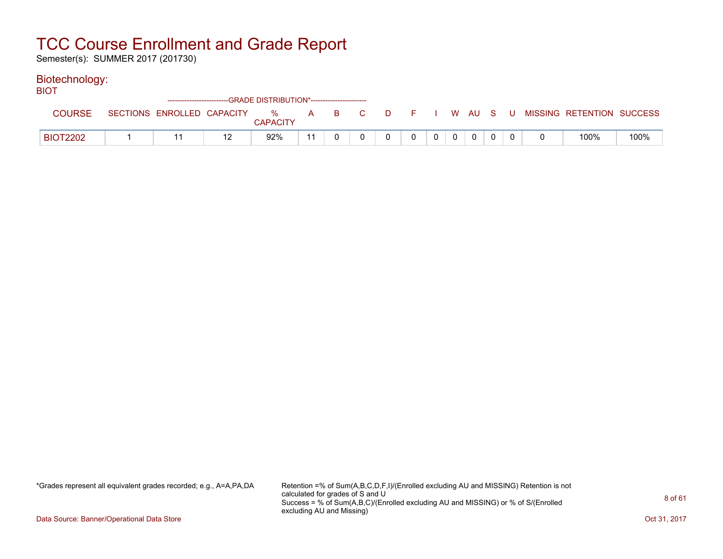Semester(s): SUMMER 2017 (201730)

#### Biotechnology:

| <b>BIOT</b>     |                            |    | ---GRADE DISTRIBUTION*----------------------- |    |  |          |  |                |              |  |                                               |      |
|-----------------|----------------------------|----|-----------------------------------------------|----|--|----------|--|----------------|--------------|--|-----------------------------------------------|------|
| <b>COURSE</b>   | SECTIONS ENROLLED CAPACITY |    | % A B C<br><b>CAPACITY</b>                    |    |  | <b>D</b> |  |                |              |  | <b>F</b> I W AU S U MISSING RETENTION SUCCESS |      |
| <b>BIOT2202</b> |                            | 12 | 92%                                           | 11 |  | 0        |  | $\overline{0}$ | $\mathbf{0}$ |  | 100%                                          | 100% |

\*Grades represent all equivalent grades recorded; e.g., A=A,PA,DA Retention =% of Sum(A,B,C,D,F,I)/(Enrolled excluding AU and MISSING) Retention is not calculated for grades of S and U Success = % of Sum(A,B,C)/(Enrolled excluding AU and MISSING) or % of S/(Enrolled excluding AU and Missing)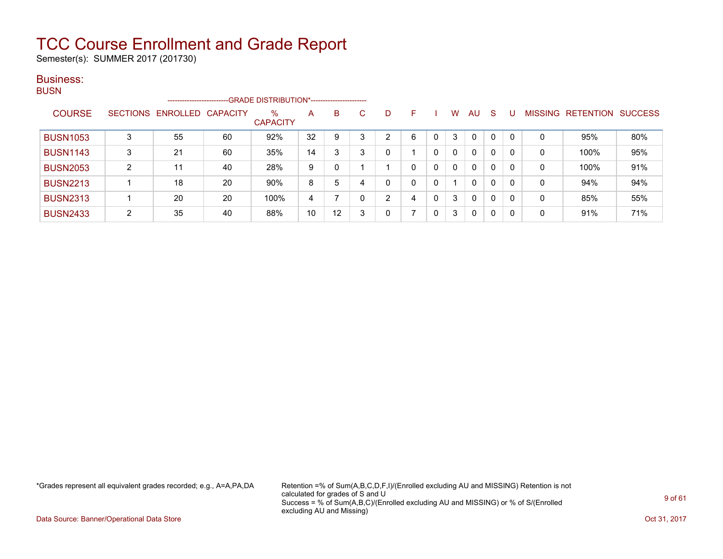Semester(s): SUMMER 2017 (201730)

#### Business: BUSN

| ייטש |                 |   | ---------------------- |          | -GRADE DISTRIBUTION*----------------------- |    |    |   |                |          |   |              |              |              |              |                |           |                |
|------|-----------------|---|------------------------|----------|---------------------------------------------|----|----|---|----------------|----------|---|--------------|--------------|--------------|--------------|----------------|-----------|----------------|
|      | <b>COURSE</b>   |   | SECTIONS ENROLLED      | CAPACITY | $\%$<br><b>CAPACITY</b>                     | A  | B. | С | D              | F        |   | W            | AU           | -S           |              | <b>MISSING</b> | RETENTION | <b>SUCCESS</b> |
|      | <b>BUSN1053</b> | 3 | 55                     | 60       | 92%                                         | 32 |    | 3 | 2              | 6        |   | 3            | $\mathbf{0}$ | $\Omega$     | $\mathbf{0}$ | 0              | 95%       | 80%            |
|      | <b>BUSN1143</b> | 3 | 21                     | 60       | 35%                                         | 14 |    | 3 | 0              |          | 0 | 0            | $\Omega$     | $\Omega$     | $\mathbf{0}$ | 0              | 100%      | 95%            |
|      | <b>BUSN2053</b> | C | 11                     | 40       | 28%                                         | 9  |    |   |                | $\Omega$ | 0 | $\mathbf{0}$ | $\mathbf{0}$ | $\mathbf{0}$ | $\mathbf{0}$ | 0              | 100%      | 91%            |
|      | <b>BUSN2213</b> |   | 18                     | 20       | 90%                                         | 8  | 5  |   | 0              | $\Omega$ | 0 |              | $\mathbf{0}$ | $\Omega$     | $\mathbf{0}$ | $\Omega$       | 94%       | 94%            |
|      | <b>BUSN2313</b> |   | 20                     | 20       | 100%                                        | 4  |    |   | $\overline{2}$ | 4        | 0 | 3            | $\mathbf{0}$ | $\Omega$     | 0            | 0              | 85%       | 55%            |
|      | <b>BUSN2433</b> | C | 35                     | 40       | 88%                                         | 10 | 12 | 3 | 0              |          | 0 | 3            | $\Omega$     | $\Omega$     | 0            | 0              | 91%       | 71%            |

\*Grades represent all equivalent grades recorded; e.g., A=A,PA,DA Retention =% of Sum(A,B,C,D,F,I)/(Enrolled excluding AU and MISSING) Retention is not calculated for grades of S and U Success = % of Sum(A,B,C)/(Enrolled excluding AU and MISSING) or % of S/(Enrolled excluding AU and Missing)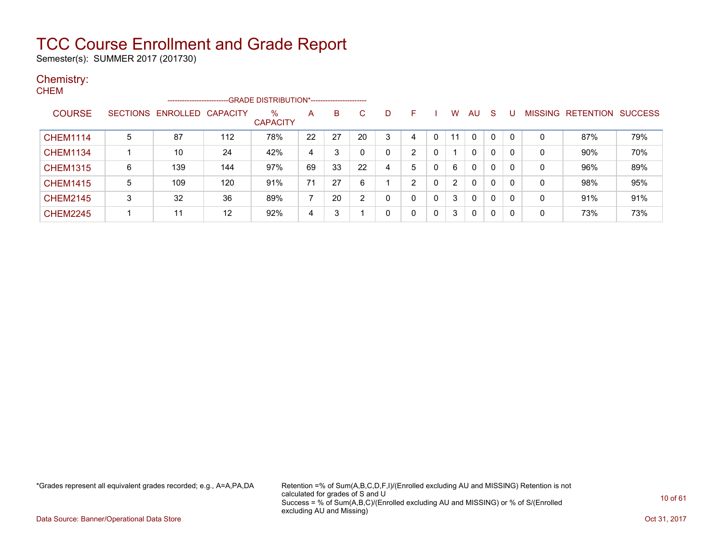Semester(s): SUMMER 2017 (201730)

### Chemistry:

| <b>CHEM</b>     |                 |                         |     |                                               |                          |    |    |   |                |   |                |              |              |          |   |                   |                |
|-----------------|-----------------|-------------------------|-----|-----------------------------------------------|--------------------------|----|----|---|----------------|---|----------------|--------------|--------------|----------|---|-------------------|----------------|
|                 |                 | ----------------------- |     | -- GRADE DISTRIBUTION*----------------------- |                          |    |    |   |                |   |                |              |              |          |   |                   |                |
| <b>COURSE</b>   | <b>SECTIONS</b> | ENROLLED CAPACITY       |     | $\%$<br><b>CAPACITY</b>                       | A                        | B  | С  | D | F              |   | W              | <b>AU</b>    | -S           | U        |   | MISSING RETENTION | <b>SUCCESS</b> |
| <b>CHEM1114</b> | 5               | 87                      | 112 | 78%                                           | 22                       | 27 | 20 | 3 | 4              | 0 | 11             | $\mathbf{0}$ | 0            | $\Omega$ | 0 | 87%               | 79%            |
| <b>CHEM1134</b> |                 | 10                      | 24  | 42%                                           | 4                        | 3  |    | 0 | $\overline{2}$ | 0 |                | $\mathbf{0}$ | 0            | $\Omega$ | 0 | 90%               | 70%            |
| <b>CHEM1315</b> | 6               | 139                     | 144 | 97%                                           | 69                       | 33 | 22 | 4 | 5              | 0 | 6              | $\mathbf{0}$ | $\Omega$     | $\Omega$ | 0 | 96%               | 89%            |
| <b>CHEM1415</b> | 5               | 109                     | 120 | 91%                                           | 71                       | 27 | 6  |   | 2              | 0 | $\overline{2}$ | $\mathbf{0}$ | $\mathbf{0}$ | $\Omega$ | 0 | 98%               | 95%            |
| <b>CHEM2145</b> | 3               | 32                      | 36  | 89%                                           | $\overline{\phantom{a}}$ | 20 | າ  | 0 | 0              | 0 | 3              | $\mathbf{0}$ | 0            | $\Omega$ | 0 | 91%               | 91%            |
| <b>CHEM2245</b> |                 | 11                      | 12  | 92%                                           | 4                        | 3  |    | 0 | 0              | 0 | 3              | $\Omega$     | 0            | $\Omega$ | 0 | 73%               | 73%            |

\*Grades represent all equivalent grades recorded; e.g., A=A,PA,DA Retention =% of Sum(A,B,C,D,F,I)/(Enrolled excluding AU and MISSING) Retention is not calculated for grades of S and U Success = % of Sum(A,B,C)/(Enrolled excluding AU and MISSING) or % of S/(Enrolled excluding AU and Missing)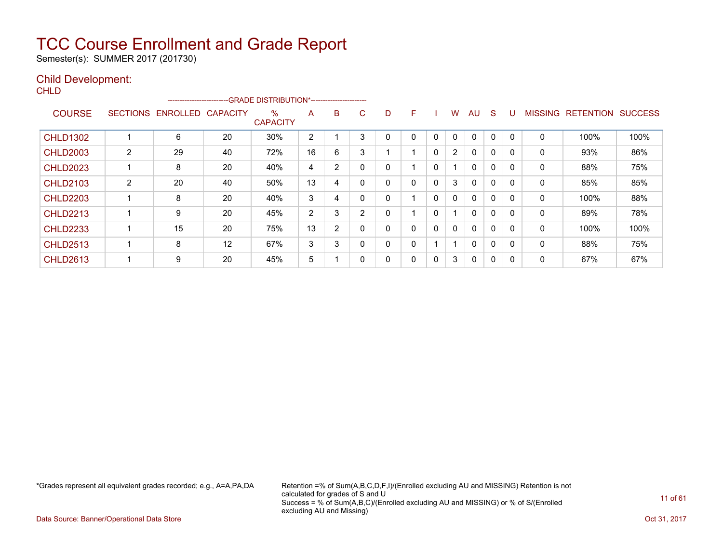Semester(s): SUMMER 2017 (201730)

#### Child Development:

**CHLD** 

|                 |                 | ------------------------ |                   | --GRADE DISTRIBUTION*------------------------ |                |   |   |   |   |              |                |              |              |          |                |                  |                |
|-----------------|-----------------|--------------------------|-------------------|-----------------------------------------------|----------------|---|---|---|---|--------------|----------------|--------------|--------------|----------|----------------|------------------|----------------|
| <b>COURSE</b>   | <b>SECTIONS</b> | <b>ENROLLED</b>          | <b>CAPACITY</b>   | $\%$<br><b>CAPACITY</b>                       | A              | B | С | D | F |              | W              | AU           | S            |          | <b>MISSING</b> | <b>RETENTION</b> | <b>SUCCESS</b> |
| <b>CHLD1302</b> |                 | 6                        | 20                | 30%                                           | $\overline{2}$ |   | 3 | 0 | 0 | $\mathbf 0$  | 0              | 0            | 0            | $\Omega$ | 0              | 100%             | 100%           |
| <b>CHLD2003</b> | $\overline{2}$  | 29                       | 40                | 72%                                           | 16             | 6 | 3 |   |   | $\Omega$     | $\overline{2}$ | 0            | $\mathbf 0$  | $\Omega$ | 0              | 93%              | 86%            |
| <b>CHLD2023</b> |                 | 8                        | 20                | 40%                                           | 4              | 2 | 0 | 0 |   | $\mathbf{0}$ |                | 0            | $\mathbf{0}$ | $\Omega$ | 0              | 88%              | 75%            |
| <b>CHLD2103</b> | $\overline{2}$  | 20                       | 40                | 50%                                           | 13             | 4 |   | 0 | 0 | 0            | 3              | 0            | $\mathbf 0$  | $\Omega$ | 0              | 85%              | 85%            |
| <b>CHLD2203</b> |                 | 8                        | 20                | 40%                                           | 3              | 4 |   | 0 |   | 0            | 0              | $\mathbf{0}$ | $\Omega$     | O        | 0              | 100%             | 88%            |
| <b>CHLD2213</b> |                 | 9                        | 20                | 45%                                           | 2              | 3 | 2 | 0 |   | 0            |                | 0            | 0            | $\Omega$ | 0              | 89%              | 78%            |
| <b>CHLD2233</b> |                 | 15                       | 20                | 75%                                           | 13             | 2 |   | 0 | 0 | 0            | $\mathbf{0}$   | $\mathbf{0}$ | $\mathbf 0$  | $\Omega$ | 0              | 100%             | 100%           |
| <b>CHLD2513</b> |                 | 8                        | $12 \overline{ }$ | 67%                                           | 3              | 3 |   | 0 | 0 |              |                | $\mathbf{0}$ | 0            |          | 0              | 88%              | 75%            |
| <b>CHLD2613</b> |                 | 9                        | 20                | 45%                                           | 5              |   |   | 0 | 0 | 0            | 3              | 0            | 0            | 0        | 0              | 67%              | 67%            |

\*Grades represent all equivalent grades recorded; e.g., A=A,PA,DA Retention =% of Sum(A,B,C,D,F,I)/(Enrolled excluding AU and MISSING) Retention is not calculated for grades of S and U Success = % of Sum(A,B,C)/(Enrolled excluding AU and MISSING) or % of S/(Enrolled excluding AU and Missing)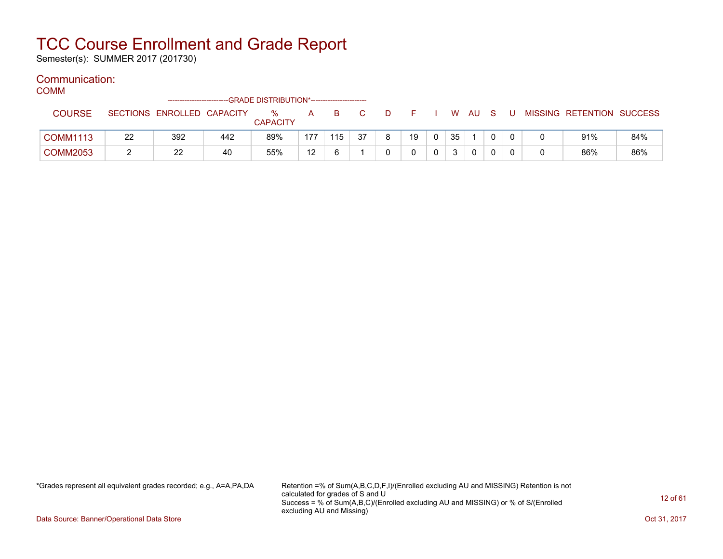Semester(s): SUMMER 2017 (201730)

#### Communication:

COMM

|                 |    | -------------------------- |     | --GRADE DISTRIBUTION*----------------------- |     |     |    |     |    |    |     |              |   |                           |     |
|-----------------|----|----------------------------|-----|----------------------------------------------|-----|-----|----|-----|----|----|-----|--------------|---|---------------------------|-----|
| <b>COURSE</b>   |    | SECTIONS ENROLLED CAPACITY |     | %<br><b>CAPACITY</b>                         | A   | B   |    | -10 |    | W  | AU. | <sub>S</sub> | U | MISSING RETENTION SUCCESS |     |
| <b>COMM1113</b> | 22 | 392                        | 442 | 89%                                          | 177 | 115 | 37 |     | 19 | 35 |     |              |   | 91%                       | 84% |
| <b>COMM2053</b> |    | 22                         | 40  | 55%                                          | 12  |     |    |     |    |    | 0   |              |   | 86%                       | 86% |

\*Grades represent all equivalent grades recorded; e.g., A=A,PA,DA Retention =% of Sum(A,B,C,D,F,I)/(Enrolled excluding AU and MISSING) Retention is not calculated for grades of S and U Success = % of Sum(A,B,C)/(Enrolled excluding AU and MISSING) or % of S/(Enrolled excluding AU and Missing)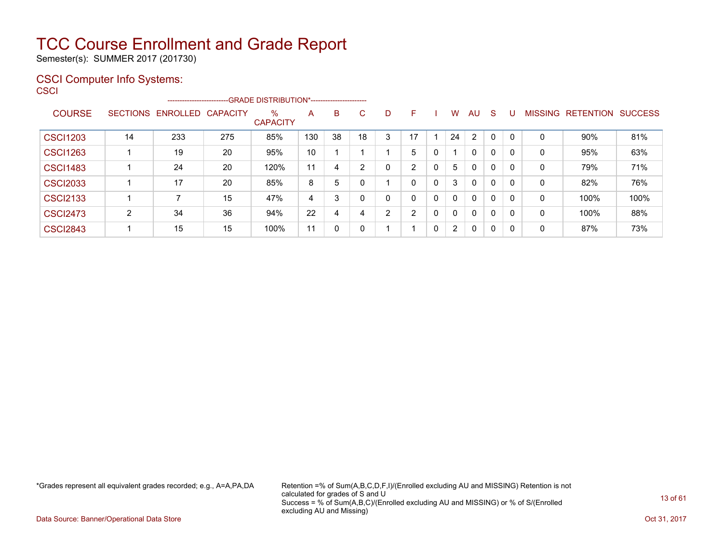Semester(s): SUMMER 2017 (201730)

### CSCI Computer Info Systems:

**CSCI** 

|                 |                 |          | --------------------------GRADE DISTRIBUTION*----------------------- |                         |     |    |    |                |                |              |                       |                |              |    |                |                  |                |
|-----------------|-----------------|----------|----------------------------------------------------------------------|-------------------------|-----|----|----|----------------|----------------|--------------|-----------------------|----------------|--------------|----|----------------|------------------|----------------|
| <b>COURSE</b>   | <b>SECTIONS</b> | ENROLLED | <b>CAPACITY</b>                                                      | $\%$<br><b>CAPACITY</b> | A   | B. | C. | D              | F              |              | W                     | AU             | <sub>S</sub> |    | <b>MISSING</b> | <b>RETENTION</b> | <b>SUCCESS</b> |
| <b>CSCI1203</b> | 14              | 233      | 275                                                                  | 85%                     | 130 | 38 | 18 | 3              | 17             |              | 24                    | $\overline{2}$ | $\mathbf 0$  |    | 0              | 90%              | 81%            |
| <b>CSCI1263</b> |                 | 19       | 20                                                                   | 95%                     | 10  |    |    |                | 5              |              |                       | 0              | 0            |    | 0              | 95%              | 63%            |
| <b>CSCI1483</b> |                 | 24       | 20                                                                   | 120%                    | 11  | 4  | ົ  | 0              | $\overline{2}$ | 0            | 5                     | $\mathbf{0}$   | 0            |    | 0              | 79%              | 71%            |
| <b>CSCI2033</b> |                 | 17       | 20                                                                   | 85%                     | 8   | 5  |    |                | 0              | 0            | 3                     | $\mathbf{0}$   | 0            | 0  | 0              | 82%              | 76%            |
| <b>CSCI2133</b> |                 |          | 15                                                                   | 47%                     | 4   | 3  |    | 0              | 0              | $\mathbf 0$  | $\Omega$              | $\mathbf{0}$   | 0            | 0  | 0              | 100%             | 100%           |
| <b>CSCI2473</b> | C               | 34       | 36                                                                   | 94%                     | 22  | 4  |    | $\overline{2}$ | っ              | 0            | $\Omega$              | $\mathbf{0}$   | 0            | -0 | 0              | 100%             | 88%            |
| <b>CSCI2843</b> |                 | 15       | 15                                                                   | 100%                    | 11  | 0  |    |                |                | $\mathbf{0}$ | $\mathbf{2}^{\prime}$ | 0              | 0            | 0  | 0              | 87%              | 73%            |

\*Grades represent all equivalent grades recorded; e.g., A=A,PA,DA Retention =% of Sum(A,B,C,D,F,I)/(Enrolled excluding AU and MISSING) Retention is not calculated for grades of S and U Success = % of Sum(A,B,C)/(Enrolled excluding AU and MISSING) or % of S/(Enrolled excluding AU and Missing)

Data Source: Banner/Operational Data Store Contract Contract Contract Contract Contract Contract Contract Contract Contract Contract Contract Contract Contract Contract Contract Contract Contract Contract Contract Contract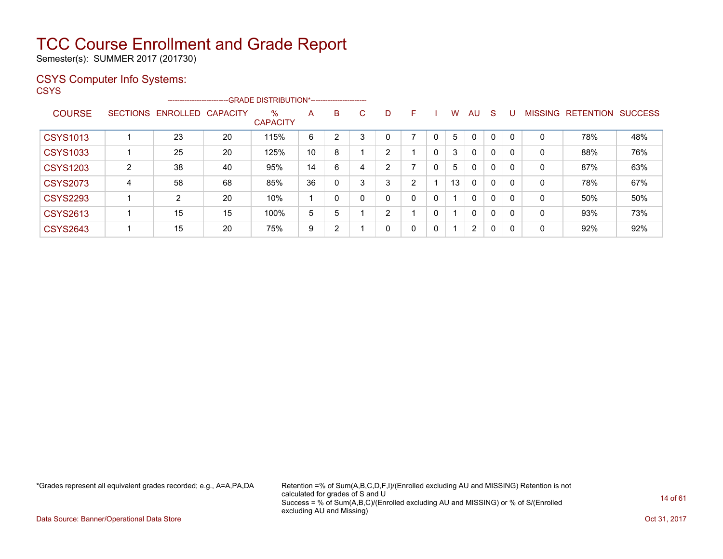Semester(s): SUMMER 2017 (201730)

#### CSYS Computer Info Systems:

**CSYS** 

|                 |                 |                | --------------------------GRADE DISTRIBUTION*---------------------- |                         |    |                |    |              |   |   |    |              |              |          |                |                  |                |
|-----------------|-----------------|----------------|---------------------------------------------------------------------|-------------------------|----|----------------|----|--------------|---|---|----|--------------|--------------|----------|----------------|------------------|----------------|
| <b>COURSE</b>   | <b>SECTIONS</b> | ENROLLED       | <b>CAPACITY</b>                                                     | $\%$<br><b>CAPACITY</b> | A  | B              | C. | D            | F |   | W  | AU           | <sub>S</sub> |          | <b>MISSING</b> | <b>RETENTION</b> | <b>SUCCESS</b> |
| <b>CSYS1013</b> |                 | 23             | 20                                                                  | 115%                    | 6  | $\overline{2}$ | 3  | 0            | ⇁ |   | 5  | $\mathbf 0$  | $\mathbf 0$  | $\Omega$ | 0              | 78%              | 48%            |
| <b>CSYS1033</b> |                 | 25             | 20                                                                  | 125%                    | 10 | 8              |    | 2            |   | 0 | 3  | 0            | $\mathbf 0$  | -0       | 0              | 88%              | 76%            |
| <b>CSYS1203</b> | $\overline{2}$  | 38             | 40                                                                  | 95%                     | 14 | 6              | 4  | 2            | 7 | 0 | 5  | $\mathbf{0}$ | 0            | -0       | 0              | 87%              | 63%            |
| <b>CSYS2073</b> | 4               | 58             | 68                                                                  | 85%                     | 36 | $\mathbf{0}$   | 3  | 3            | 2 |   | 13 | $\mathbf{0}$ | 0            | $\Omega$ | 0              | 78%              | 67%            |
| <b>CSYS2293</b> |                 | $\overline{2}$ | 20                                                                  | 10%                     |    | $\Omega$       |    | $\mathbf{0}$ | 0 | 0 |    | $\mathbf{0}$ | 0            | $\Omega$ | 0              | 50%              | 50%            |
| <b>CSYS2613</b> |                 | 15             | 15                                                                  | 100%                    | 5  | 5              |    | 2            |   | 0 |    | 0            | 0            | $\Omega$ | 0              | 93%              | 73%            |
| <b>CSYS2643</b> |                 | 15             | 20                                                                  | 75%                     | 9  | $\overline{2}$ |    | 0            | 0 | 0 | 1. | 2            | $\mathbf{0}$ | 0        | 0              | 92%              | 92%            |

\*Grades represent all equivalent grades recorded; e.g., A=A,PA,DA Retention =% of Sum(A,B,C,D,F,I)/(Enrolled excluding AU and MISSING) Retention is not calculated for grades of S and U Success = % of Sum(A,B,C)/(Enrolled excluding AU and MISSING) or % of S/(Enrolled excluding AU and Missing)

Data Source: Banner/Operational Data Store Contract Contract Contract Contract Contract Contract Contract Contract Contract Contract Contract Contract Contract Contract Contract Contract Contract Contract Contract Contract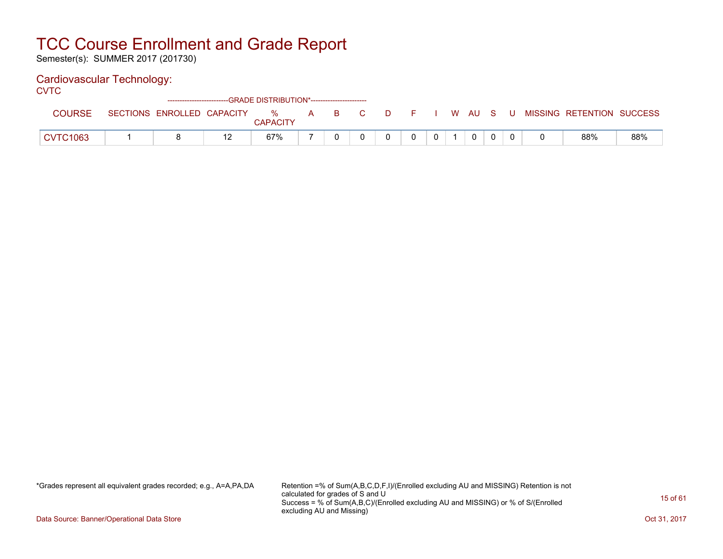Semester(s): SUMMER 2017 (201730)

### Cardiovascular Technology:

**CVTC** 

|                 |                            | ------------------------GRADE DISTRIBUTION*------------------------ |  |       |     |  |   |  |                                      |     |
|-----------------|----------------------------|---------------------------------------------------------------------|--|-------|-----|--|---|--|--------------------------------------|-----|
| <b>COURSE</b>   | SECTIONS ENROLLED CAPACITY | %<br><b>CAPACITY</b>                                                |  | A B C | DFI |  |   |  | I W AU S U MISSING RETENTION SUCCESS |     |
| <b>CVTC1063</b> |                            | 67%                                                                 |  |       | 0   |  | 0 |  | 88%                                  | 88% |

\*Grades represent all equivalent grades recorded; e.g., A=A,PA,DA Retention =% of Sum(A,B,C,D,F,I)/(Enrolled excluding AU and MISSING) Retention is not calculated for grades of S and U Success = % of Sum(A,B,C)/(Enrolled excluding AU and MISSING) or % of S/(Enrolled excluding AU and Missing)

Data Source: Banner/Operational Data Store Contract Contract Contract Contract Contract Contract Contract Contract Contract Contract Contract Contract Contract Contract Contract Contract Contract Contract Contract Contract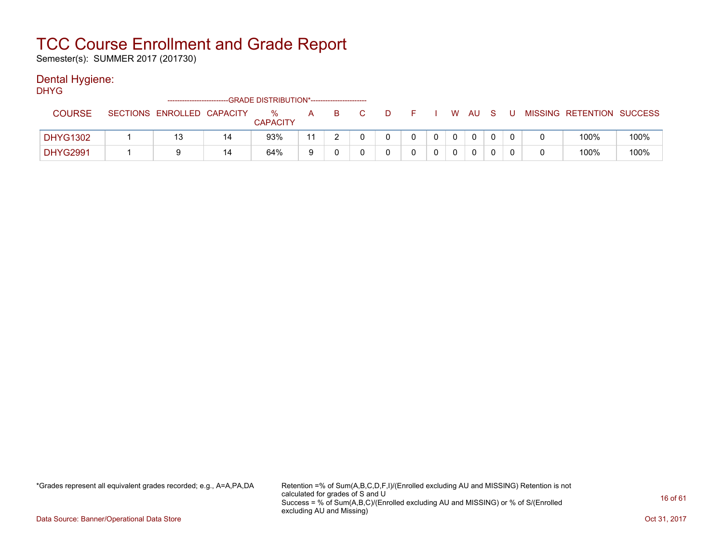Semester(s): SUMMER 2017 (201730)

#### Dental Hygiene:

DHYG

|                 | -------------------------  |    | -GRADE DISTRIBUTION*----------------------- |    |  |   |  |    |     |  |                           |      |
|-----------------|----------------------------|----|---------------------------------------------|----|--|---|--|----|-----|--|---------------------------|------|
| COURSE          | SECTIONS ENROLLED CAPACITY |    | ℅<br><b>CAPACITY</b>                        | А  |  | D |  | W. | AU. |  | MISSING RETENTION SUCCESS |      |
| <b>DHYG1302</b> |                            | 14 | 93%                                         | 11 |  |   |  |    |     |  | 100%                      | 100% |
| <b>DHYG2991</b> |                            | 14 | 64%                                         | a  |  |   |  |    |     |  | 100%                      | 100% |

\*Grades represent all equivalent grades recorded; e.g., A=A,PA,DA Retention =% of Sum(A,B,C,D,F,I)/(Enrolled excluding AU and MISSING) Retention is not calculated for grades of S and U Success = % of Sum(A,B,C)/(Enrolled excluding AU and MISSING) or % of S/(Enrolled excluding AU and Missing)

Data Source: Banner/Operational Data Store Contract Contract Contract Contract Contract Contract Contract Contract Contract Contract Contract Contract Contract Contract Contract Contract Contract Contract Contract Contract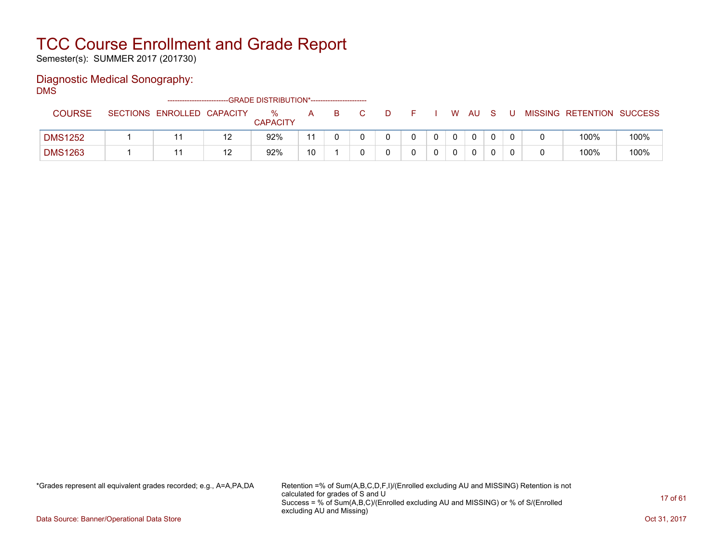Semester(s): SUMMER 2017 (201730)

### Diagnostic Medical Sonography:

DMS

|                |                            |    | ------------------------GRADE DISTRIBUTION*----------------------- |    |   |    |  |    |              |  |                           |      |
|----------------|----------------------------|----|--------------------------------------------------------------------|----|---|----|--|----|--------------|--|---------------------------|------|
| <b>COURSE</b>  | SECTIONS ENROLLED CAPACITY |    | $\%$<br><b>CAPACITY</b>                                            | A  | B | D. |  | W. | AU           |  | MISSING RETENTION SUCCESS |      |
| <b>DMS1252</b> |                            | 12 | 92%                                                                |    |   |    |  |    | $\mathbf{0}$ |  | 100%                      | 100% |
| <b>DMS1263</b> |                            | 10 | 92%                                                                | 10 |   |    |  |    |              |  | 100%                      | 100% |

\*Grades represent all equivalent grades recorded; e.g., A=A,PA,DA Retention =% of Sum(A,B,C,D,F,I)/(Enrolled excluding AU and MISSING) Retention is not calculated for grades of S and U Success = % of Sum(A,B,C)/(Enrolled excluding AU and MISSING) or % of S/(Enrolled excluding AU and Missing)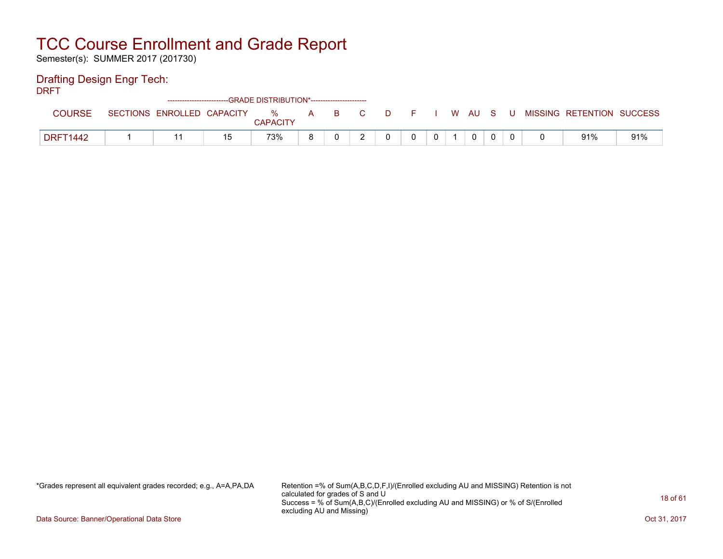Semester(s): SUMMER 2017 (201730)

### Drafting Design Engr Tech:

DRFT

|                 |                            | ------------------------GRADE DISTRIBUTION*----------------------- |                         |   |     |          |    |          |      |    |       |                           |     |
|-----------------|----------------------------|--------------------------------------------------------------------|-------------------------|---|-----|----------|----|----------|------|----|-------|---------------------------|-----|
| <b>COURSE</b>   | SECTIONS ENROLLED CAPACITY |                                                                    | $\%$<br><b>CAPACITY</b> | A | B C | $\Box$ D |    |          | W AU | S. | - U - | MISSING RETENTION SUCCESS |     |
| <b>DRFT1442</b> |                            | 15                                                                 | 73%                     |   |     |          | O. | $\Omega$ | 0    |    |       | 91%                       | 91% |

\*Grades represent all equivalent grades recorded; e.g., A=A,PA,DA Retention =% of Sum(A,B,C,D,F,I)/(Enrolled excluding AU and MISSING) Retention is not calculated for grades of S and U Success = % of Sum(A,B,C)/(Enrolled excluding AU and MISSING) or % of S/(Enrolled excluding AU and Missing)

Data Source: Banner/Operational Data Store Contract Contract Contract Contract Contract Contract Contract Contract Contract Contract Contract Contract Contract Contract Contract Contract Contract Contract Contract Contract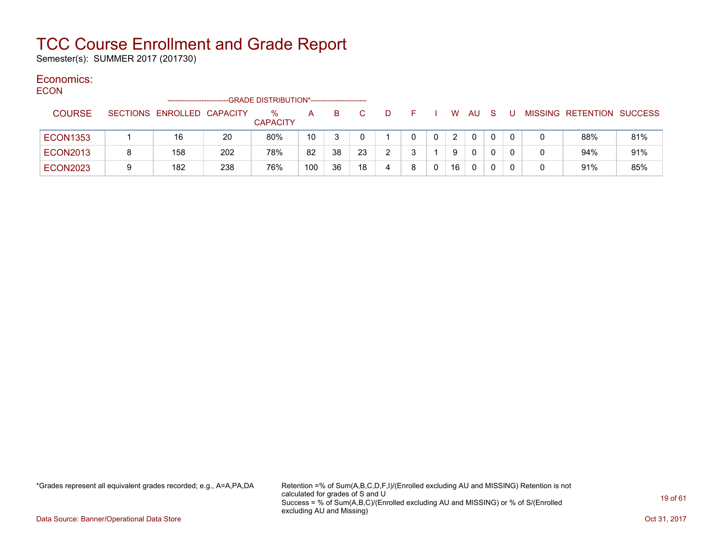Semester(s): SUMMER 2017 (201730)

### Economics:

**ECON** 

|                 |   | ----------------------     |     | -GRADE DISTRIBUTION*---------------------- |     |    |    |   |   |    |              |   |  |                           |     |
|-----------------|---|----------------------------|-----|--------------------------------------------|-----|----|----|---|---|----|--------------|---|--|---------------------------|-----|
| <b>COURSE</b>   |   | SECTIONS ENROLLED CAPACITY |     | $\%$<br><b>CAPACITY</b>                    | A   | B. |    | D |   | W. | AU.          | S |  | MISSING RETENTION SUCCESS |     |
| <b>ECON1353</b> |   | 16                         | 20  | 80%                                        | 10  |    |    |   |   | 2  | $\mathbf{0}$ |   |  | 88%                       | 81% |
| <b>ECON2013</b> |   | 158                        | 202 | 78%                                        | 82  | 38 | 23 |   |   | 9  | $\mathbf{0}$ |   |  | 94%                       | 91% |
| <b>ECON2023</b> | 9 | 182                        | 238 | 76%                                        | 100 | 36 | 18 |   | 8 | 16 | $\mathbf{0}$ |   |  | 91%                       | 85% |

\*Grades represent all equivalent grades recorded; e.g., A=A,PA,DA Retention =% of Sum(A,B,C,D,F,I)/(Enrolled excluding AU and MISSING) Retention is not calculated for grades of S and U Success = % of Sum(A,B,C)/(Enrolled excluding AU and MISSING) or % of S/(Enrolled excluding AU and Missing)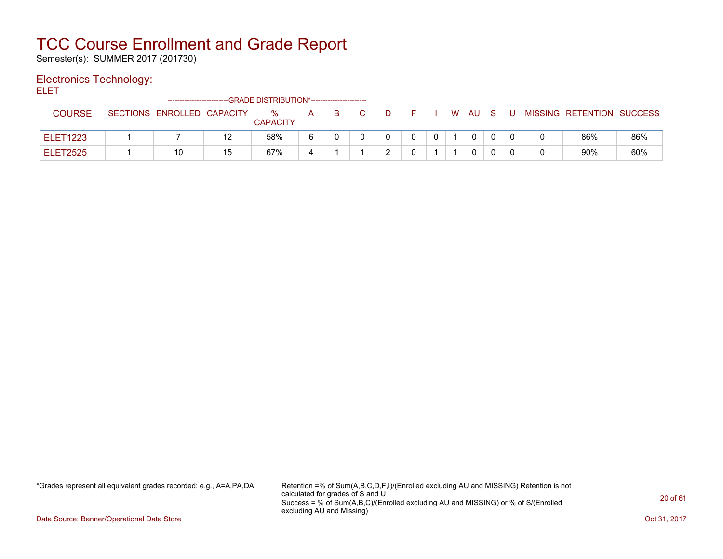Semester(s): SUMMER 2017 (201730)

#### Electronics Technology:

ELET

|                 |                            |    | -----------------------GRADE DISTRIBUTION*---------------------- |              |    |  |  |    |     |   |   |                           |     |
|-----------------|----------------------------|----|------------------------------------------------------------------|--------------|----|--|--|----|-----|---|---|---------------------------|-----|
| <b>COURSE</b>   | SECTIONS ENROLLED CAPACITY |    | $\%$<br><b>CAPACITY</b>                                          | $\mathsf{A}$ | -B |  |  | W. | AU. | S | U | MISSING RETENTION SUCCESS |     |
| <b>ELET1223</b> |                            | 12 | 58%                                                              |              |    |  |  |    | 0   |   |   | 86%                       | 86% |
| <b>ELET2525</b> | 10                         | 15 | 67%                                                              |              |    |  |  |    | 0   |   |   | 90%                       | 60% |

\*Grades represent all equivalent grades recorded; e.g., A=A,PA,DA Retention =% of Sum(A,B,C,D,F,I)/(Enrolled excluding AU and MISSING) Retention is not calculated for grades of S and U Success = % of Sum(A,B,C)/(Enrolled excluding AU and MISSING) or % of S/(Enrolled excluding AU and Missing)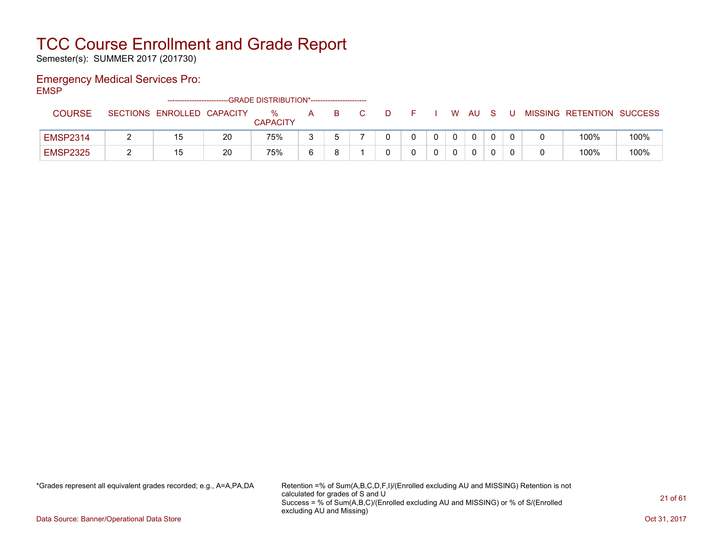Semester(s): SUMMER 2017 (201730)

### Emergency Medical Services Pro:

EMSP

|                 |                            |    | -GRADE DISTRIBUTION*---------------------- |          |    |   |            |              |        |  |                           |      |
|-----------------|----------------------------|----|--------------------------------------------|----------|----|---|------------|--------------|--------|--|---------------------------|------|
| <b>COURSE</b>   | SECTIONS ENROLLED CAPACITY |    | $\%$<br><b>CAPACITY</b>                    | A        | B. | D |            |              | W AU S |  | MISSING RETENTION SUCCESS |      |
| <b>EMSP2314</b> | 15                         | 20 | 75%                                        |          |    |   | $^{\circ}$ | $\mathbf{0}$ | 0      |  | 100%                      | 100% |
| <b>EMSP2325</b> | 15                         | 20 | 75%                                        | <b>6</b> |    |   |            |              |        |  | 100%                      | 100% |

\*Grades represent all equivalent grades recorded; e.g., A=A,PA,DA Retention =% of Sum(A,B,C,D,F,I)/(Enrolled excluding AU and MISSING) Retention is not calculated for grades of S and U Success = % of Sum(A,B,C)/(Enrolled excluding AU and MISSING) or % of S/(Enrolled excluding AU and Missing)

Data Source: Banner/Operational Data Store Contract Contract Contract Contract Contract Contract Contract Contract Contract Contract Contract Contract Contract Contract Contract Contract Contract Contract Contract Contract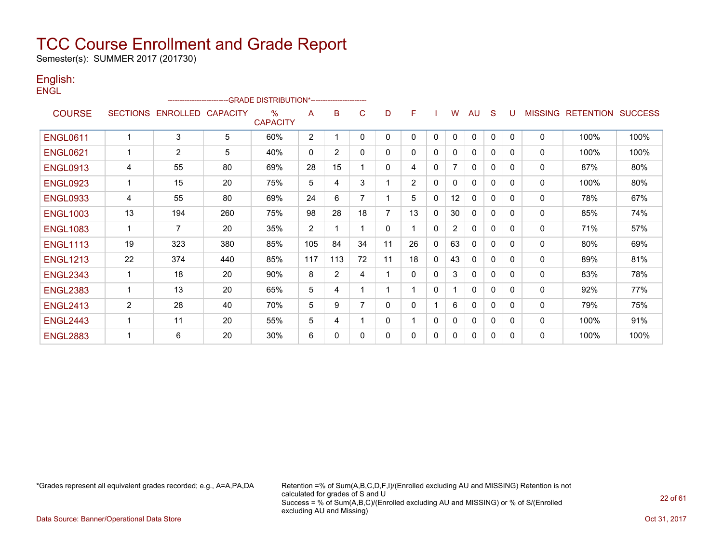Semester(s): SUMMER 2017 (201730)

#### English: **ENGL**

|                 |                 | ----------------------- |                 | -GRADE DISTRIBUTION*----------------------- |                |                |          |              |                |              |                |              |              |              |                |                  |                |
|-----------------|-----------------|-------------------------|-----------------|---------------------------------------------|----------------|----------------|----------|--------------|----------------|--------------|----------------|--------------|--------------|--------------|----------------|------------------|----------------|
| <b>COURSE</b>   | <b>SECTIONS</b> | <b>ENROLLED</b>         | <b>CAPACITY</b> | $\%$<br><b>CAPACITY</b>                     | A              | B              | C        | D            | F              |              | W              | AU           | <sub>S</sub> | U            | <b>MISSING</b> | <b>RETENTION</b> | <b>SUCCESS</b> |
| <b>ENGL0611</b> | 1               | 3                       | 5               | 60%                                         | $\overline{2}$ |                | 0        | 0            | 0              | 0            | 0              | 0            | $\mathbf{0}$ | $\mathbf{0}$ | 0              | 100%             | 100%           |
| <b>ENGL0621</b> | 1               | $\overline{2}$          | 5               | 40%                                         | $\mathbf{0}$   | $\overline{2}$ | 0        | 0            | 0              | 0            | 0              | $\mathbf{0}$ | $\Omega$     | 0            | $\mathbf{0}$   | 100%             | 100%           |
| <b>ENGL0913</b> | 4               | 55                      | 80              | 69%                                         | 28             | 15             |          | $\mathbf{0}$ | 4              | 0            | $\overline{7}$ | $\mathbf{0}$ | 0            | $\mathbf{0}$ | $\mathbf{0}$   | 87%              | 80%            |
| <b>ENGL0923</b> | $\mathbf 1$     | 15                      | 20              | 75%                                         | 5              | 4              | 3        |              | $\overline{2}$ | $\Omega$     | 0              | $\mathbf{0}$ | 0            | 0            | 0              | 100%             | 80%            |
| <b>ENGL0933</b> | 4               | 55                      | 80              | 69%                                         | 24             | 6              |          |              | 5              | $\mathbf{0}$ | 12             | $\mathbf{0}$ | 0            | $\Omega$     | $\mathbf{0}$   | 78%              | 67%            |
| <b>ENGL1003</b> | 13              | 194                     | 260             | 75%                                         | 98             | 28             | 18       | 7            | 13             | 0            | 30             | $\mathbf{0}$ | 0            | $\Omega$     | 0              | 85%              | 74%            |
| <b>ENGL1083</b> | $\mathbf{1}$    | $\overline{7}$          | 20              | 35%                                         | $\overline{2}$ |                |          | 0            |                | $\Omega$     | $\overline{2}$ | $\mathbf{0}$ | $\Omega$     | $\Omega$     | $\mathbf 0$    | 71%              | 57%            |
| <b>ENGL1113</b> | 19              | 323                     | 380             | 85%                                         | 105            | 84             | 34       | 11           | 26             | 0            | 63             | $\mathbf{0}$ | 0            | 0            | $\mathbf{0}$   | 80%              | 69%            |
| <b>ENGL1213</b> | 22              | 374                     | 440             | 85%                                         | 117            | 113            | 72       | 11           | 18             | $\mathbf{0}$ | 43             | $\mathbf{0}$ | $\Omega$     | 0            | $\mathbf{0}$   | 89%              | 81%            |
| <b>ENGL2343</b> | $\mathbf{1}$    | 18                      | 20              | 90%                                         | 8              | $\overline{2}$ | 4        |              | 0              | $\Omega$     | 3              | $\mathbf{0}$ | $\Omega$     | $\Omega$     | 0              | 83%              | 78%            |
| <b>ENGL2383</b> |                 | 13                      | 20              | 65%                                         | 5              | 4              |          |              |                | $\mathbf{0}$ |                | $\Omega$     | 0            | $\Omega$     | $\mathbf{0}$   | 92%              | 77%            |
| <b>ENGL2413</b> | $\overline{2}$  | 28                      | 40              | 70%                                         | 5              | 9              |          | $\Omega$     | 0              |              | 6              | $\mathbf{0}$ | $\Omega$     | $\Omega$     | 0              | 79%              | 75%            |
| <b>ENGL2443</b> | $\mathbf{1}$    | 11                      | 20              | 55%                                         | 5              | 4              |          | 0            |                | 0            | 0              | 0            | 0            | $\Omega$     | 0              | 100%             | 91%            |
| <b>ENGL2883</b> |                 | 6                       | 20              | 30%                                         | 6              | 0              | $\Omega$ | $\mathbf{0}$ | 0              | 0            | 0              | $\mathbf{0}$ | $\Omega$     | 0            | $\mathbf{0}$   | 100%             | 100%           |

\*Grades represent all equivalent grades recorded; e.g., A=A,PA,DA Retention =% of Sum(A,B,C,D,F,I)/(Enrolled excluding AU and MISSING) Retention is not calculated for grades of S and U Success = % of Sum(A,B,C)/(Enrolled excluding AU and MISSING) or % of S/(Enrolled excluding AU and Missing)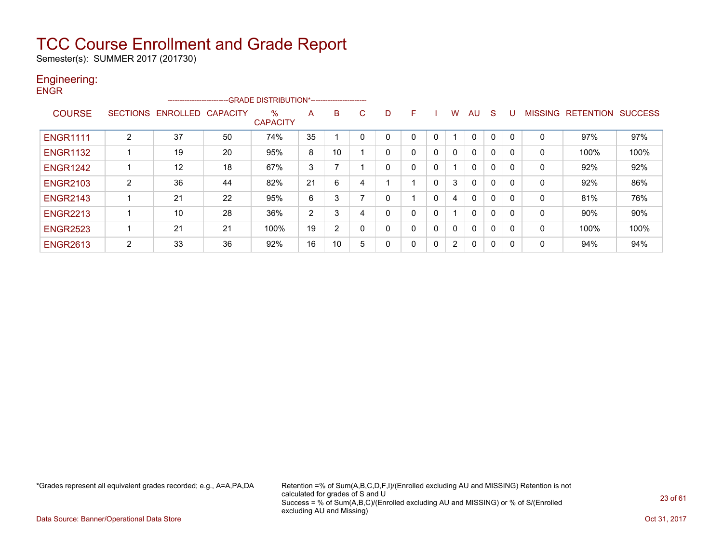Semester(s): SUMMER 2017 (201730)

#### Engineering: **ENGR**

|                 |                | ------------------------ |                 | -GRADE DISTRIBUTION*----------------------- |    |    |    |   |   |          |                |              |          |              |                |                  |                |
|-----------------|----------------|--------------------------|-----------------|---------------------------------------------|----|----|----|---|---|----------|----------------|--------------|----------|--------------|----------------|------------------|----------------|
| <b>COURSE</b>   |                | SECTIONS ENROLLED        | <b>CAPACITY</b> | $\%$<br><b>CAPACITY</b>                     | A  | B  | C. | D | F |          | W              | AU           | S        |              | <b>MISSING</b> | <b>RETENTION</b> | <b>SUCCESS</b> |
| <b>ENGR1111</b> | $\overline{2}$ | 37                       | 50              | 74%                                         | 35 |    |    |   | 0 |          |                | $\Omega$     | 0        |              | 0              | 97%              | 97%            |
| <b>ENGR1132</b> |                | 19                       | 20              | 95%                                         | 8  | 10 |    | 0 | 0 | 0        | 0              | $\mathbf{0}$ | 0        |              | 0              | 100%             | 100%           |
| <b>ENGR1242</b> |                | 12                       | 18              | 67%                                         | 3  | ⇁  |    | 0 | 0 | 0        |                | $\mathbf{0}$ | $\Omega$ | $\Omega$     | 0              | 92%              | 92%            |
| <b>ENGR2103</b> | 2              | 36                       | 44              | 82%                                         | 21 | 6  |    |   |   | 0        | 3              | $\mathbf{0}$ | $\Omega$ | $\Omega$     | 0              | 92%              | 86%            |
| <b>ENGR2143</b> |                | 21                       | 22              | 95%                                         | 6  | 3  |    | 0 |   | 0        | 4              | $\mathbf{0}$ | 0        | $\Omega$     | 0              | 81%              | 76%            |
| <b>ENGR2213</b> |                | 10                       | 28              | 36%                                         | 2  | 3  | 4  |   | 0 | $\Omega$ |                | $\mathbf{0}$ | $\Omega$ |              | 0              | 90%              | 90%            |
| <b>ENGR2523</b> |                | 21                       | 21              | 100%                                        | 19 | 2  |    | 0 | 0 | 0        | 0              | $\mathbf{0}$ | 0        |              | 0              | 100%             | 100%           |
| <b>ENGR2613</b> | 2              | 33                       | 36              | 92%                                         | 16 | 10 | 5  | 0 | 0 | 0        | $\overline{2}$ | $\mathbf{0}$ | $\Omega$ | $\mathsf{C}$ | 0              | 94%              | 94%            |

\*Grades represent all equivalent grades recorded; e.g., A=A,PA,DA Retention =% of Sum(A,B,C,D,F,I)/(Enrolled excluding AU and MISSING) Retention is not calculated for grades of S and U Success = % of Sum(A,B,C)/(Enrolled excluding AU and MISSING) or % of S/(Enrolled excluding AU and Missing)

Data Source: Banner/Operational Data Store Contract Contract Contract Contract Contract Contract Contract Contract Contract Contract Contract Contract Contract Contract Contract Contract Contract Contract Contract Contract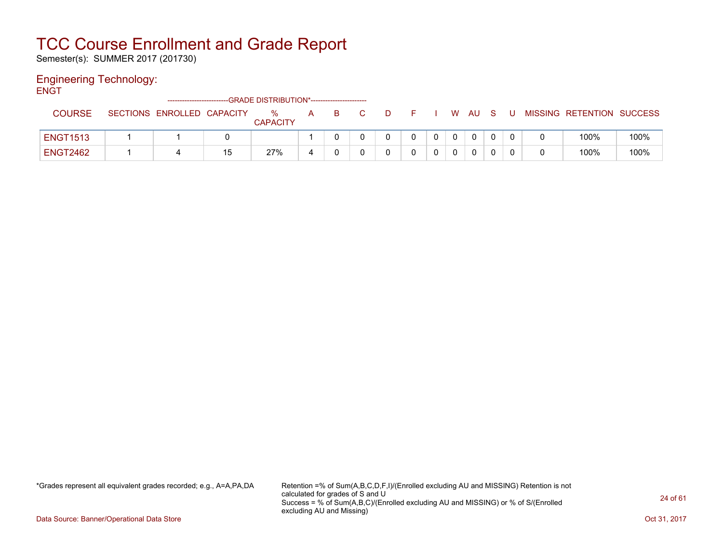Semester(s): SUMMER 2017 (201730)

### Engineering Technology:

**ENGT** 

|                 |                            |    | -GRADE DISTRIBUTION*----------------------- |   |  |  |   |     |     |   |                           |      |
|-----------------|----------------------------|----|---------------------------------------------|---|--|--|---|-----|-----|---|---------------------------|------|
| COURSE          | SECTIONS ENROLLED CAPACITY |    | $\%$<br><b>CAPACITY</b>                     | A |  |  | W | AU. | - S | U | MISSING RETENTION SUCCESS |      |
| <b>ENGT1513</b> |                            |    |                                             |   |  |  |   | 0   |     |   | 100%                      | 100% |
| <b>ENGT2462</b> |                            | 15 | 27%                                         |   |  |  |   | 0   |     |   | 100%                      | 100% |

\*Grades represent all equivalent grades recorded; e.g., A=A,PA,DA Retention =% of Sum(A,B,C,D,F,I)/(Enrolled excluding AU and MISSING) Retention is not calculated for grades of S and U Success = % of Sum(A,B,C)/(Enrolled excluding AU and MISSING) or % of S/(Enrolled excluding AU and Missing)

Data Source: Banner/Operational Data Store Contract Contract Contract Contract Contract Contract Contract Contract Contract Contract Contract Contract Contract Contract Contract Contract Contract Contract Contract Contract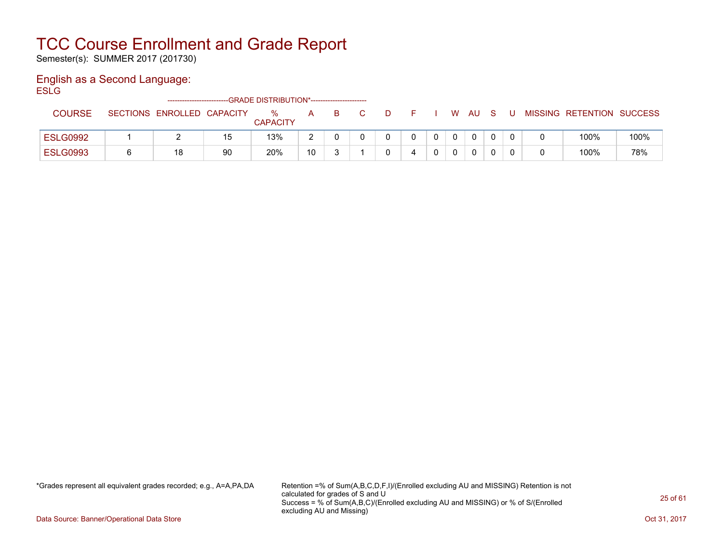Semester(s): SUMMER 2017 (201730)

### English as a Second Language:

**ESLG** 

|                 | -------------------------- |    | --GRADE DISTRIBUTION*----------------------- |              |    |   |   |  |              |     |                           |      |
|-----------------|----------------------------|----|----------------------------------------------|--------------|----|---|---|--|--------------|-----|---------------------------|------|
| <b>COURSE</b>   | SECTIONS ENROLLED CAPACITY |    | $\%$<br><b>CAPACITY</b>                      | $\mathsf{A}$ | B. | D |   |  | W AU         | . U | MISSING RETENTION SUCCESS |      |
| <b>ESLG0992</b> |                            |    | 13%                                          | $\sim$       |    |   |   |  | $\mathbf{0}$ |     | 100%                      | 100% |
| <b>ESLG0993</b> | 18                         | 90 | 20%                                          | 10           |    |   | 4 |  | 0            |     | 100%                      | 78%  |

\*Grades represent all equivalent grades recorded; e.g., A=A,PA,DA Retention =% of Sum(A,B,C,D,F,I)/(Enrolled excluding AU and MISSING) Retention is not calculated for grades of S and U Success = % of Sum(A,B,C)/(Enrolled excluding AU and MISSING) or % of S/(Enrolled excluding AU and Missing)

Data Source: Banner/Operational Data Store Contract Contract Contract Contract Contract Contract Contract Contract Contract Contract Contract Contract Contract Contract Contract Contract Contract Contract Contract Contract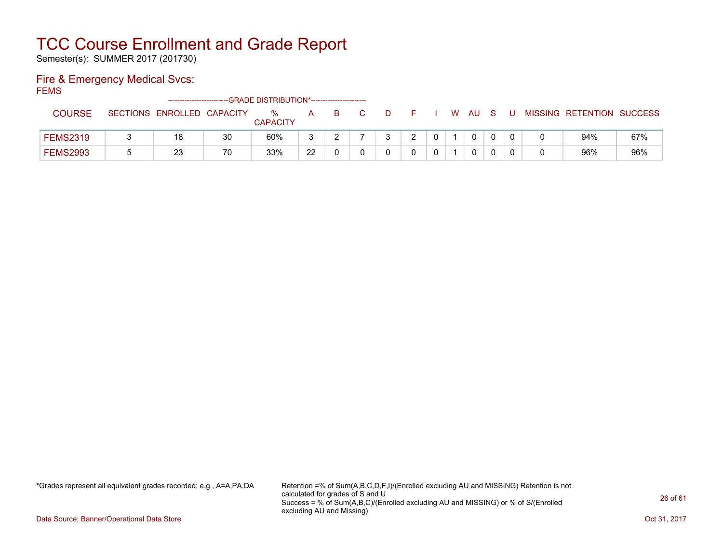Semester(s): SUMMER 2017 (201730)

### Fire & Emergency Medical Svcs:

FEMS

|                 | ------------------------   |    | -GRADE DISTRIBUTION*----------------------- |    |    |   |  |              |     |   |                           |     |
|-----------------|----------------------------|----|---------------------------------------------|----|----|---|--|--------------|-----|---|---------------------------|-----|
| <b>COURSE</b>   | SECTIONS ENROLLED CAPACITY |    | $\%$                                        | A  | B. | D |  | W AU         | - S | U | MISSING RETENTION SUCCESS |     |
|                 |                            |    | <b>CAPACITY</b>                             |    |    |   |  |              |     |   |                           |     |
| <b>FEMS2319</b> | 18                         | 30 | 60%                                         |    |    |   |  | $\mathbf{0}$ |     |   | 94%                       | 67% |
| <b>FEMS2993</b> | つつ<br>ںے                   | 70 | 33%                                         | 22 |    |   |  | 0            |     |   | 96%                       | 96% |

\*Grades represent all equivalent grades recorded; e.g., A=A,PA,DA Retention =% of Sum(A,B,C,D,F,I)/(Enrolled excluding AU and MISSING) Retention is not calculated for grades of S and U Success = % of Sum(A,B,C)/(Enrolled excluding AU and MISSING) or % of S/(Enrolled excluding AU and Missing)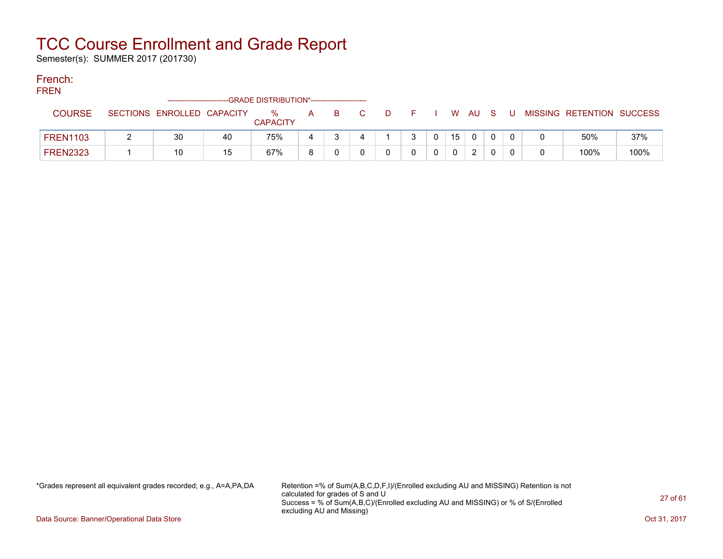Semester(s): SUMMER 2017 (201730)

### French:

**FREN** 

| .               | -------------------------  |    | --GRADE DISTRIBUTION*----------------------- |   |    |   |  |    |               |     |  |                           |      |
|-----------------|----------------------------|----|----------------------------------------------|---|----|---|--|----|---------------|-----|--|---------------------------|------|
| COURSE          | SECTIONS ENROLLED CAPACITY |    | %<br><b>CAPACITY</b>                         | А | В. | D |  | W  | - AU          | - S |  | MISSING RETENTION SUCCESS |      |
| <b>FREN1103</b> | 30                         | 40 | 75%                                          |   |    |   |  | 15 |               |     |  | 50%                       | 37%  |
| <b>FREN2323</b> | 10                         | 15 | 67%                                          | я |    |   |  |    | $\mathcal{P}$ |     |  | 100%                      | 100% |

\*Grades represent all equivalent grades recorded; e.g., A=A,PA,DA Retention =% of Sum(A,B,C,D,F,I)/(Enrolled excluding AU and MISSING) Retention is not calculated for grades of S and U Success = % of Sum(A,B,C)/(Enrolled excluding AU and MISSING) or % of S/(Enrolled excluding AU and Missing)

Data Source: Banner/Operational Data Store Contract Contract Contract Contract Contract Contract Contract Contract Contract Contract Contract Contract Contract Contract Contract Contract Contract Contract Contract Contract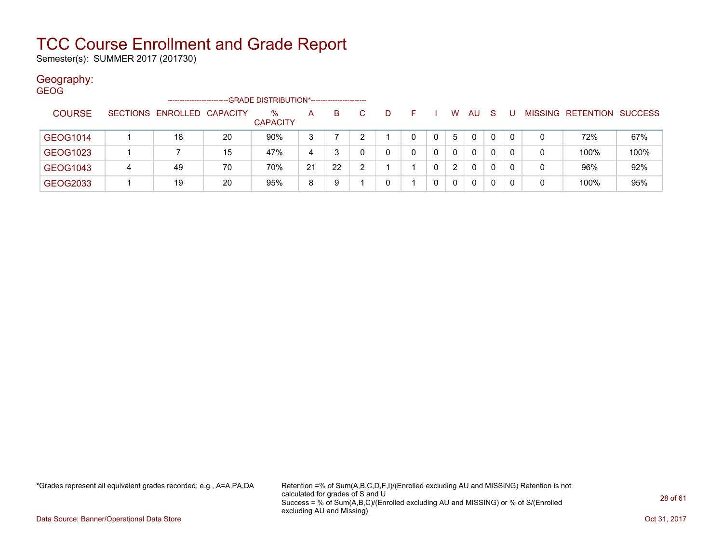Semester(s): SUMMER 2017 (201730)

### Geography:

| <b>GEOG</b>   |   | -------------------        |    | -GRADE DISTRIBUTION*----------------------- |              |    |    |   |    |   |                |          |              |   |   |                           |      |
|---------------|---|----------------------------|----|---------------------------------------------|--------------|----|----|---|----|---|----------------|----------|--------------|---|---|---------------------------|------|
| <b>COURSE</b> |   | SECTIONS ENROLLED CAPACITY |    | $\%$<br><b>CAPACITY</b>                     | $\mathsf{A}$ | B  | C. | D | F. |   | W              | AU.      | <sub>S</sub> |   |   | MISSING RETENTION SUCCESS |      |
| GEOG1014      |   | 18                         | 20 | 90%                                         | 3            |    |    |   | 0  | 0 | 5              | 0        | 0            | 0 | 0 | 72%                       | 67%  |
| GEOG1023      |   |                            | 15 | 47%                                         | 4            |    |    |   | 0  |   | 0              | $\Omega$ | 0            | 0 | 0 | 100%                      | 100% |
| GEOG1043      | 4 | 49                         | 70 | 70%                                         | 21           | 22 |    |   |    | 0 | $\overline{2}$ | 0        | $\Omega$     | 0 | 0 | 96%                       | 92%  |
| GEOG2033      |   | 19                         | 20 | 95%                                         | 8            | 9  |    |   |    |   | 0              | 0        | 0            |   | 0 | 100%                      | 95%  |

\*Grades represent all equivalent grades recorded; e.g., A=A,PA,DA Retention =% of Sum(A,B,C,D,F,I)/(Enrolled excluding AU and MISSING) Retention is not calculated for grades of S and U Success = % of Sum(A,B,C)/(Enrolled excluding AU and MISSING) or % of S/(Enrolled excluding AU and Missing)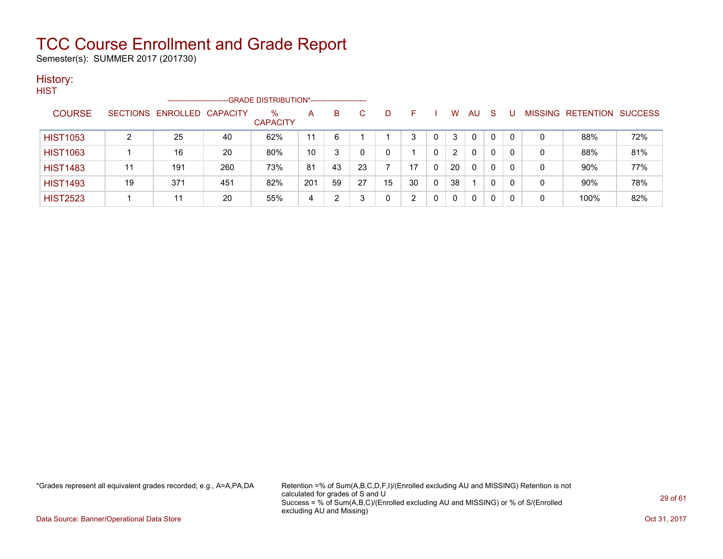Semester(s): SUMMER 2017 (201730)

### History:

| HIST            |                 | ------------------ |     | -GRADE DISTRIBUTION*----------------------- |     |    |    |    |    |   |                |              |              |              |   |                   |                |
|-----------------|-----------------|--------------------|-----|---------------------------------------------|-----|----|----|----|----|---|----------------|--------------|--------------|--------------|---|-------------------|----------------|
| <b>COURSE</b>   | <b>SECTIONS</b> | ENROLLED CAPACITY  |     | $\%$<br><b>CAPACITY</b>                     | A   | B  | C  | D. | F  |   | w              | AU           | <sub>S</sub> |              |   | MISSING RETENTION | <b>SUCCESS</b> |
| <b>HIST1053</b> | າ               | 25                 | 40  | 62%                                         | 11  | 6  |    |    | 3  |   | 3              | 0            | $\Omega$     | $\mathbf{0}$ | 0 | 88%               | 72%            |
| <b>HIST1063</b> |                 | 16                 | 20  | 80%                                         | 10  | 3  |    |    |    | 0 | $\overline{2}$ | 0            | $\Omega$     | 0            | 0 | 88%               | 81%            |
| <b>HIST1483</b> | 11              | 191                | 260 | 73%                                         | 81  | 43 | 23 |    | 17 | 0 | 20             | $\mathbf{0}$ | 0            | 0            | 0 | 90%               | 77%            |
| <b>HIST1493</b> | 19              | 371                | 451 | 82%                                         | 201 | 59 | 27 | 15 | 30 | 0 | 38             |              | 0            | 0            | 0 | 90%               | 78%            |
| <b>HIST2523</b> |                 | 11                 | 20  | 55%                                         | 4   | າ  |    |    | າ  |   | 0              | 0            | 0            | 0            | 0 | 100%              | 82%            |

\*Grades represent all equivalent grades recorded; e.g., A=A,PA,DA Retention =% of Sum(A,B,C,D,F,I)/(Enrolled excluding AU and MISSING) Retention is not calculated for grades of S and U Success = % of Sum(A,B,C)/(Enrolled excluding AU and MISSING) or % of S/(Enrolled excluding AU and Missing)

Data Source: Banner/Operational Data Store Contract Contract Contract Contract Contract Contract Contract Contract Contract Contract Contract Contract Contract Contract Contract Contract Contract Contract Contract Contract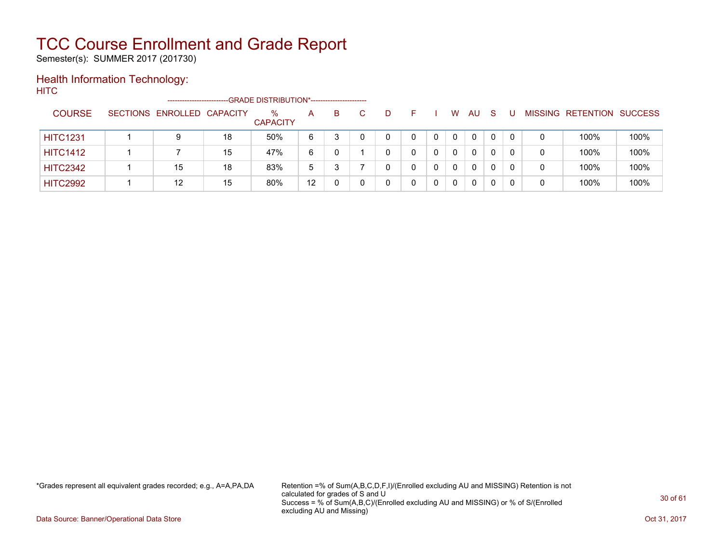Semester(s): SUMMER 2017 (201730)

### Health Information Technology:

**HITC** 

|                 | ---------------------      |    | --GRADE DISTRIBUTION*------------------------ |    |    |   |   |   |    |              |          |   |                                  |      |
|-----------------|----------------------------|----|-----------------------------------------------|----|----|---|---|---|----|--------------|----------|---|----------------------------------|------|
| <b>COURSE</b>   | SECTIONS ENROLLED CAPACITY |    | %<br><b>CAPACITY</b>                          | A  | B. | D |   | W | AU | <sub>S</sub> |          |   | <b>MISSING RETENTION SUCCESS</b> |      |
| <b>HITC1231</b> |                            | 18 | 50%                                           | 6  |    | 0 | 0 | 0 | 0  |              | $\Omega$ | 0 | 100%                             | 100% |
| <b>HITC1412</b> |                            | 15 | 47%                                           | 6  |    | 0 |   | 0 | 0  |              | $\Omega$ | 0 | 100%                             | 100% |
| <b>HITC2342</b> | 15                         | 18 | 83%                                           | 5  |    |   | 0 | 0 |    |              |          | 0 | 100%                             | 100% |
| <b>HITC2992</b> | 12                         | 15 | 80%                                           | 12 |    |   | 0 | 0 |    |              |          | 0 | 100%                             | 100% |

\*Grades represent all equivalent grades recorded; e.g., A=A,PA,DA Retention =% of Sum(A,B,C,D,F,I)/(Enrolled excluding AU and MISSING) Retention is not calculated for grades of S and U Success = % of Sum(A,B,C)/(Enrolled excluding AU and MISSING) or % of S/(Enrolled excluding AU and Missing)

Data Source: Banner/Operational Data Store Contract Contract Contract Contract Contract Contract Contract Contract Contract Contract Contract Contract Contract Contract Contract Contract Contract Contract Contract Contract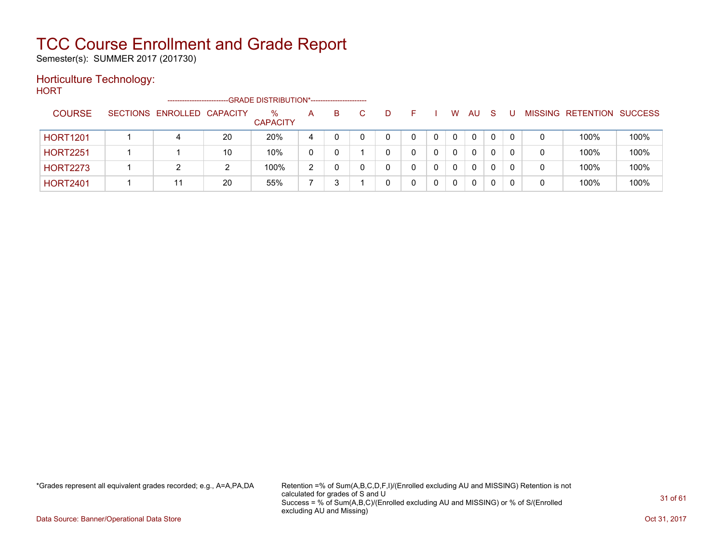Semester(s): SUMMER 2017 (201730)

#### Horticulture Technology:

**HORT** 

|                 | ----------------------     |    | -- GRADE DISTRIBUTION*------------------------ |               |    |   |    |   |          |              |   |   |                          |                |
|-----------------|----------------------------|----|------------------------------------------------|---------------|----|---|----|---|----------|--------------|---|---|--------------------------|----------------|
| <b>COURSE</b>   | SECTIONS ENROLLED CAPACITY |    | %<br><b>CAPACITY</b>                           | A             | B. | D |    | W | AU       | -S           |   |   | <b>MISSING RETENTION</b> | <b>SUCCESS</b> |
| <b>HORT1201</b> | 4                          | 20 | 20%                                            | 4             |    | 0 |    | 0 | 0        | $\mathbf{0}$ | 0 | 0 | 100%                     | 100%           |
| <b>HORT2251</b> |                            | 10 | 10%                                            | 0             |    |   | 0. | 0 | 0        |              |   | 0 | 100%                     | 100%           |
| <b>HORT2273</b> |                            | 2  | 100%                                           | $\mathcal{D}$ |    | 0 |    | 0 | $\Omega$ |              |   | 0 | 100%                     | 100%           |
| <b>HORT2401</b> | 11                         | 20 | 55%                                            |               |    |   |    |   | 0        |              |   | 0 | 100%                     | 100%           |

\*Grades represent all equivalent grades recorded; e.g., A=A,PA,DA Retention =% of Sum(A,B,C,D,F,I)/(Enrolled excluding AU and MISSING) Retention is not calculated for grades of S and U Success = % of Sum(A,B,C)/(Enrolled excluding AU and MISSING) or % of S/(Enrolled excluding AU and Missing)

Data Source: Banner/Operational Data Store Contract Contract Contract Contract Contract Contract Contract Contract Contract Contract Contract Contract Contract Contract Contract Contract Contract Contract Contract Contract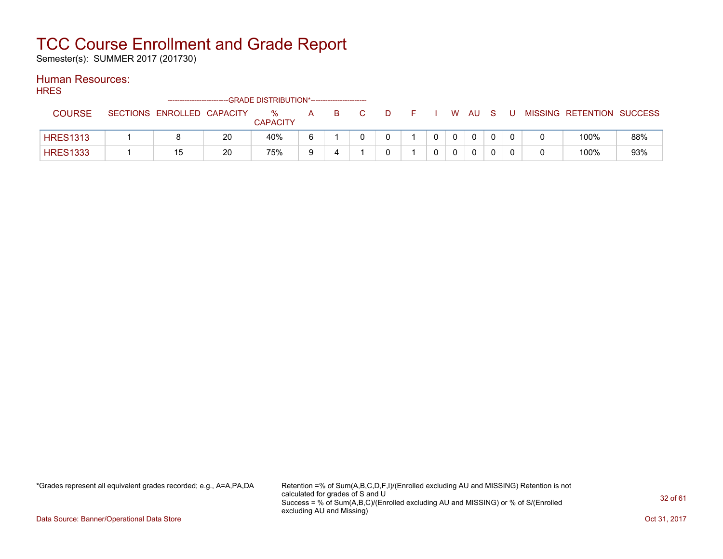Semester(s): SUMMER 2017 (201730)

### Human Resources:

**HRES** 

|                 | -------------------------  |    | -GRADE DISTRIBUTION*---------------------- |   |    |   |  |   |    |  |                           |     |
|-----------------|----------------------------|----|--------------------------------------------|---|----|---|--|---|----|--|---------------------------|-----|
| <b>COURSE</b>   | SECTIONS ENROLLED CAPACITY |    | $\%$<br><b>CAPACITY</b>                    | A | в. | D |  | W | AU |  | MISSING RETENTION SUCCESS |     |
| <b>HRES1313</b> |                            | 20 | 40%                                        |   |    |   |  |   |    |  | 100%                      | 88% |
| <b>HRES1333</b> |                            | 20 | 75%                                        | a |    |   |  |   |    |  | 100%                      | 93% |

\*Grades represent all equivalent grades recorded; e.g., A=A,PA,DA Retention =% of Sum(A,B,C,D,F,I)/(Enrolled excluding AU and MISSING) Retention is not calculated for grades of S and U Success = % of Sum(A,B,C)/(Enrolled excluding AU and MISSING) or % of S/(Enrolled excluding AU and Missing)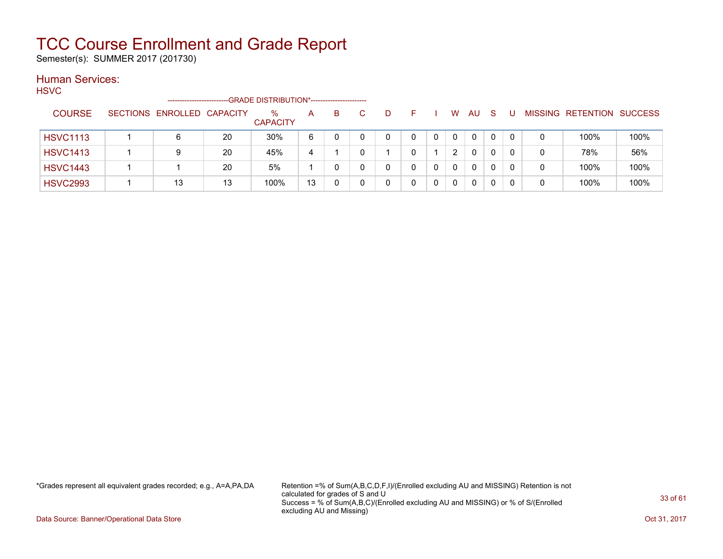Semester(s): SUMMER 2017 (201730)

### Human Services:

**HSVC** 

|                 |                 | ------------------------ |    | -GRADE DISTRIBUTION*---------------------- |    |   |   |  |   |              |              |          |   |                          |                |
|-----------------|-----------------|--------------------------|----|--------------------------------------------|----|---|---|--|---|--------------|--------------|----------|---|--------------------------|----------------|
| <b>COURSE</b>   | <b>SECTIONS</b> | ENROLLED CAPACITY        |    | $\%$<br><b>CAPACITY</b>                    | A  | в | D |  | w | AU           | S            |          |   | <b>MISSING RETENTION</b> | <b>SUCCESS</b> |
| <b>HSVC1113</b> |                 | 6                        | 20 | 30%                                        | 6  |   | 0 |  | 0 | 0            | $\mathbf{0}$ | $\Omega$ | 0 | 100%                     | 100%           |
| <b>HSVC1413</b> |                 | 9                        | 20 | 45%                                        | 4  |   |   |  | 2 | 0            |              |          | 0 | 78%                      | 56%            |
| <b>HSVC1443</b> |                 |                          | 20 | 5%                                         |    |   |   |  | 0 | $\mathbf{0}$ |              |          | 0 | 100%                     | 100%           |
| <b>HSVC2993</b> |                 | 13                       | 13 | 100%                                       | 13 |   |   |  |   | 0            |              |          | 0 | 100%                     | 100%           |

\*Grades represent all equivalent grades recorded; e.g., A=A,PA,DA Retention =% of Sum(A,B,C,D,F,I)/(Enrolled excluding AU and MISSING) Retention is not calculated for grades of S and U Success = % of Sum(A,B,C)/(Enrolled excluding AU and MISSING) or % of S/(Enrolled excluding AU and Missing)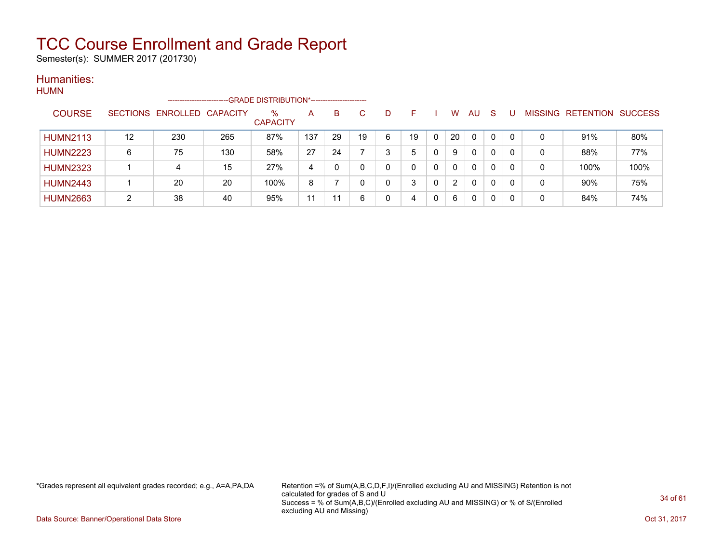Semester(s): SUMMER 2017 (201730)

#### Humanities: HUMN

| 1101111 |                 |    | -----------------------    |     |                         |     |    |    |   |    |   |    |              |          |          |   |                                  |      |
|---------|-----------------|----|----------------------------|-----|-------------------------|-----|----|----|---|----|---|----|--------------|----------|----------|---|----------------------------------|------|
|         | <b>COURSE</b>   |    | SECTIONS ENROLLED CAPACITY |     | $\%$<br><b>CAPACITY</b> | A   | B  | C. | D |    |   | W  | AU           | - S      |          |   | <b>MISSING RETENTION SUCCESS</b> |      |
|         | <b>HUMN2113</b> | 12 | 230                        | 265 | 87%                     | 137 | 29 | 19 | 6 | 19 |   | 20 | 0            |          | $\Omega$ | 0 | 91%                              | 80%  |
|         | <b>HUMN2223</b> | 6  | 75                         | 130 | 58%                     | 27  | 24 |    | 3 | 5  | 0 | 9  | $\mathbf{0}$ | $\Omega$ | -0       | 0 | 88%                              | 77%  |
|         | <b>HUMN2323</b> |    | 4                          | 15  | 27%                     | 4   |    |    | 0 |    | 0 | 0  | 0            | $\Omega$ | $\Omega$ | 0 | 100%                             | 100% |
|         | <b>HUMN2443</b> |    | 20                         | 20  | 100%                    | 8   |    |    | 0 | 3  | 0 | 2  | 0            | $\Omega$ | $\Omega$ | 0 | 90%                              | 75%  |
|         | <b>HUMN2663</b> | ົ  | 38                         | 40  | 95%                     | 11  | 11 | 6  | 0 | 4  | 0 | 6  | 0            | 0        | 0        | 0 | 84%                              | 74%  |

\*Grades represent all equivalent grades recorded; e.g., A=A,PA,DA Retention =% of Sum(A,B,C,D,F,I)/(Enrolled excluding AU and MISSING) Retention is not calculated for grades of S and U Success = % of Sum(A,B,C)/(Enrolled excluding AU and MISSING) or % of S/(Enrolled excluding AU and Missing)

Data Source: Banner/Operational Data Store Contract Contract Contract Contract Contract Contract Contract Contract Contract Contract Contract Contract Contract Contract Contract Contract Contract Contract Contract Contract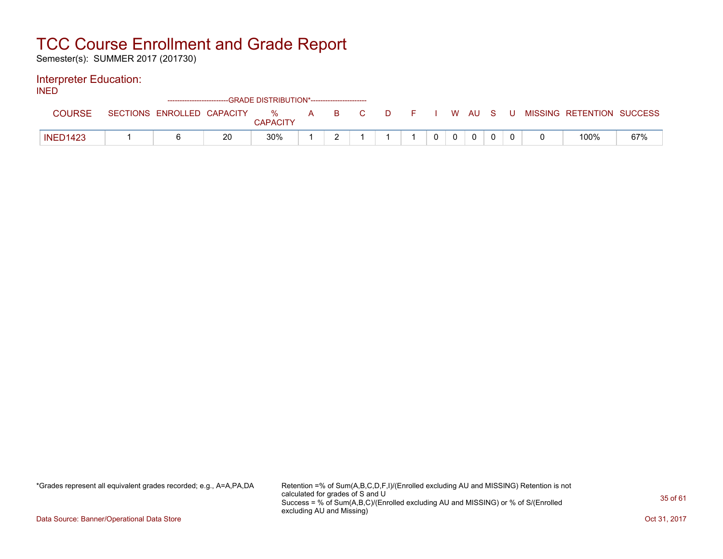Semester(s): SUMMER 2017 (201730)

#### Interpreter Education:

INED

|                 |                            |    | ------------------------GRADE DISTRIBUTION*----------------------- |          |                           |    |          |             |             |             |  |                           |     |
|-----------------|----------------------------|----|--------------------------------------------------------------------|----------|---------------------------|----|----------|-------------|-------------|-------------|--|---------------------------|-----|
| COURSE          | SECTIONS ENROLLED CAPACITY |    | %<br><b>CAPACITY</b>                                               | <b>A</b> | $\mathbf{B} = \mathbf{C}$ | C. | DFIWAUSU |             |             |             |  | MISSING RETENTION SUCCESS |     |
| <b>INED1423</b> |                            | 20 | 30%                                                                |          |                           |    |          | $\mathbf 0$ | $\mathbf 0$ | $\mathbf 0$ |  | 100%                      | 67% |

\*Grades represent all equivalent grades recorded; e.g., A=A,PA,DA Retention =% of Sum(A,B,C,D,F,I)/(Enrolled excluding AU and MISSING) Retention is not calculated for grades of S and U Success = % of Sum(A,B,C)/(Enrolled excluding AU and MISSING) or % of S/(Enrolled excluding AU and Missing)

Data Source: Banner/Operational Data Store Contract Contract Contract Contract Contract Contract Contract Contract Contract Contract Contract Contract Contract Contract Contract Contract Contract Contract Contract Contract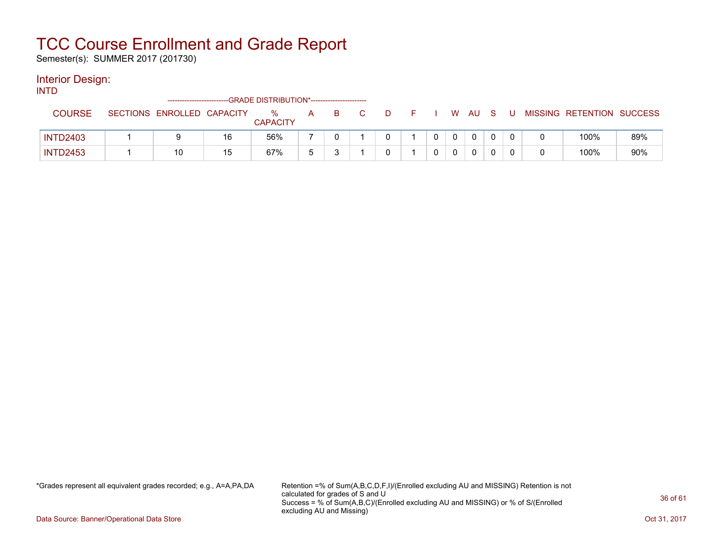Semester(s): SUMMER 2017 (201730)

#### Interior Design:

INTD

|                 |                            |    | ------------------------GRADE DISTRIBUTION*----------------------- |   |  |   |  |   |     |  |                           |     |
|-----------------|----------------------------|----|--------------------------------------------------------------------|---|--|---|--|---|-----|--|---------------------------|-----|
| COURSE          | SECTIONS ENROLLED CAPACITY |    | ℅<br><b>CAPACITY</b>                                               | A |  | D |  | W | AU. |  | MISSING RETENTION SUCCESS |     |
| <b>INTD2403</b> |                            | 16 | 56%                                                                |   |  |   |  |   |     |  | 100%                      | 89% |
| <b>INTD2453</b> | 10                         | 15 | 67%                                                                |   |  |   |  |   |     |  | 100%                      | 90% |

\*Grades represent all equivalent grades recorded; e.g., A=A,PA,DA Retention =% of Sum(A,B,C,D,F,I)/(Enrolled excluding AU and MISSING) Retention is not calculated for grades of S and U Success = % of Sum(A,B,C)/(Enrolled excluding AU and MISSING) or % of S/(Enrolled excluding AU and Missing)

Data Source: Banner/Operational Data Store Contract Contract Contract Contract Contract Contract Contract Contract Contract Contract Contract Contract Contract Contract Contract Contract Contract Contract Contract Contract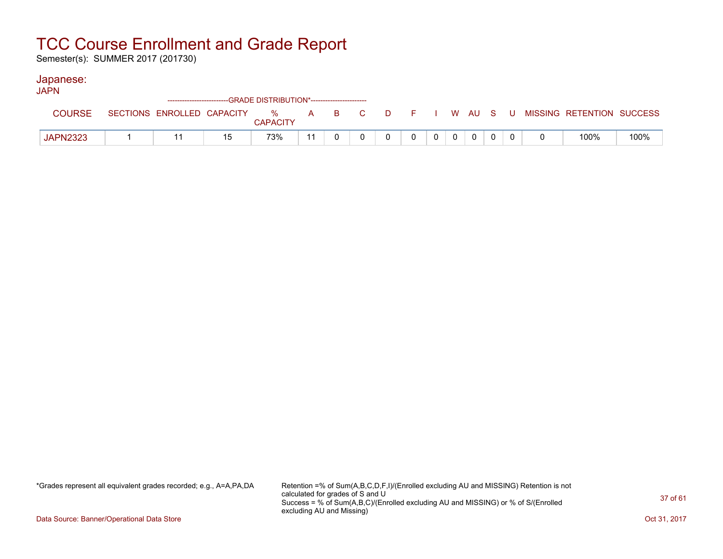Semester(s): SUMMER 2017 (201730)

#### Japanese:

| <b>JAPN</b>     |                            |    |                 |    |  |          |                |          |          |  |                                                  |      |
|-----------------|----------------------------|----|-----------------|----|--|----------|----------------|----------|----------|--|--------------------------------------------------|------|
| <b>COURSE</b>   | SECTIONS ENROLLED CAPACITY |    | <b>CAPACITY</b> |    |  |          |                |          |          |  | % A B C D F I W AU S U MISSING—RETENTION SUCCESS |      |
| <b>JAPN2323</b> |                            | 15 | 73%             | 11 |  | $\Omega$ | 0 <sup>1</sup> | $\Omega$ | $\Omega$ |  | 100%                                             | 100% |

\*Grades represent all equivalent grades recorded; e.g., A=A,PA,DA Retention =% of Sum(A,B,C,D,F,I)/(Enrolled excluding AU and MISSING) Retention is not calculated for grades of S and U Success = % of Sum(A,B,C)/(Enrolled excluding AU and MISSING) or % of S/(Enrolled excluding AU and Missing)

Data Source: Banner/Operational Data Store Contract Contract Contract Contract Contract Contract Contract Contract Contract Contract Contract Contract Contract Contract Contract Contract Contract Contract Contract Contract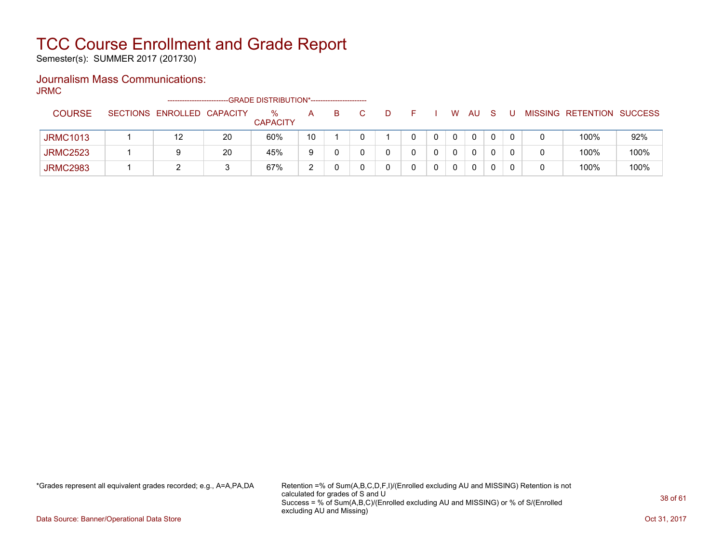Semester(s): SUMMER 2017 (201730)

### Journalism Mass Communications:

JRMC

|                 |                            |    | -GRADE DISTRIBUTION*----------------------- |              |    |  |  |              |     |  |                           |      |
|-----------------|----------------------------|----|---------------------------------------------|--------------|----|--|--|--------------|-----|--|---------------------------|------|
| <b>COURSE</b>   | SECTIONS ENROLLED CAPACITY |    | $\%$<br><b>CAPACITY</b>                     | $\mathsf{A}$ | B. |  |  | W            | AU. |  | MISSING RETENTION SUCCESS |      |
| <b>JRMC1013</b> | 12                         | 20 | 60%                                         | 10           |    |  |  | $\mathbf{0}$ | 0   |  | 100%                      | 92%  |
| <b>JRMC2523</b> |                            | 20 | 45%                                         | 9            |    |  |  | $\mathbf{0}$ | 0   |  | 100%                      | 100% |
| <b>JRMC2983</b> |                            |    | 67%                                         | ົ            |    |  |  | 0            | 0   |  | 100%                      | 100% |

\*Grades represent all equivalent grades recorded; e.g., A=A,PA,DA Retention =% of Sum(A,B,C,D,F,I)/(Enrolled excluding AU and MISSING) Retention is not calculated for grades of S and U Success = % of Sum(A,B,C)/(Enrolled excluding AU and MISSING) or % of S/(Enrolled excluding AU and Missing)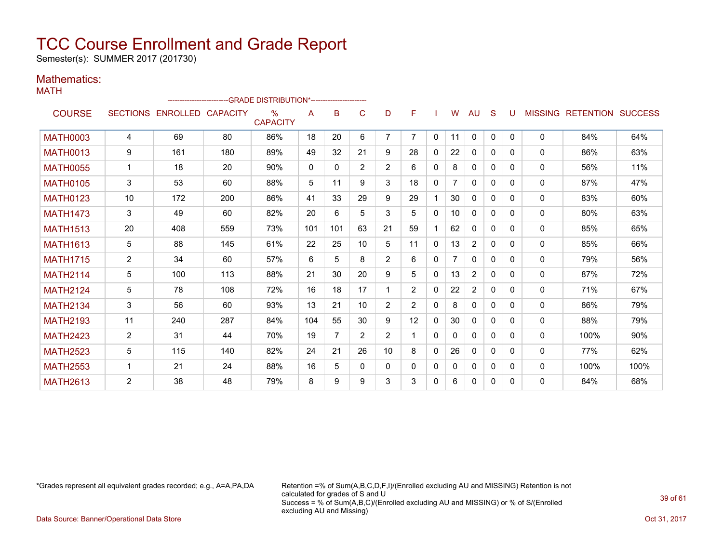Semester(s): SUMMER 2017 (201730)

#### Mathematics: MATH

|                 |                |                            | --------------------------GRADE                DISTRIBUTION*--------------------- |                         |              |          |                |                |                |              |    |                |              |              |              |                                  |      |
|-----------------|----------------|----------------------------|-----------------------------------------------------------------------------------|-------------------------|--------------|----------|----------------|----------------|----------------|--------------|----|----------------|--------------|--------------|--------------|----------------------------------|------|
| <b>COURSE</b>   |                | SECTIONS ENROLLED CAPACITY |                                                                                   | $\%$<br><b>CAPACITY</b> | A            | B        | C              | D              | F              |              | W  | AU             | S            | U            |              | <b>MISSING RETENTION SUCCESS</b> |      |
| <b>MATH0003</b> | 4              | 69                         | 80                                                                                | 86%                     | 18           | 20       | 6              | 7              | 7              | $\mathbf{0}$ | 11 | $\mathbf{0}$   | $\Omega$     | $\Omega$     | $\mathbf{0}$ | 84%                              | 64%  |
| <b>MATH0013</b> | 9              | 161                        | 180                                                                               | 89%                     | 49           | 32       | 21             | 9              | 28             | $\mathbf{0}$ | 22 | $\mathbf{0}$   | $\mathbf{0}$ | $\Omega$     | $\mathbf{0}$ | 86%                              | 63%  |
| <b>MATH0055</b> | $\mathbf 1$    | 18                         | 20                                                                                | 90%                     | $\mathbf{0}$ | $\Omega$ | $\overline{2}$ | $\overline{2}$ | 6              | 0            | 8  | $\mathbf{0}$   | $\Omega$     | $\Omega$     | $\mathbf{0}$ | 56%                              | 11%  |
| <b>MATH0105</b> | 3              | 53                         | 60                                                                                | 88%                     | 5            | 11       | 9              | 3              | 18             | $\Omega$     | 7  | $\mathbf{0}$   | $\Omega$     | $\Omega$     | 0            | 87%                              | 47%  |
| <b>MATH0123</b> | 10             | 172                        | 200                                                                               | 86%                     | 41           | 33       | 29             | 9              | 29             |              | 30 | $\mathbf{0}$   | $\mathbf{0}$ | $\Omega$     | 0            | 83%                              | 60%  |
| <b>MATH1473</b> | 3              | 49                         | 60                                                                                | 82%                     | 20           | 6        | 5              | 3              | 5              | $\mathbf{0}$ | 10 | 0              | 0            | $\Omega$     | 0            | 80%                              | 63%  |
| <b>MATH1513</b> | 20             | 408                        | 559                                                                               | 73%                     | 101          | 101      | 63             | 21             | 59             |              | 62 | 0              | $\mathbf{0}$ | $\Omega$     | 0            | 85%                              | 65%  |
| <b>MATH1613</b> | 5              | 88                         | 145                                                                               | 61%                     | 22           | 25       | 10             | 5              | 11             | $\Omega$     | 13 | $\overline{2}$ | $\Omega$     | $\Omega$     | 0            | 85%                              | 66%  |
| <b>MATH1715</b> | $\overline{2}$ | 34                         | 60                                                                                | 57%                     | 6            | 5        | 8              | $\overline{2}$ | 6              | $\mathbf{0}$ |    | 0              | $\mathbf{0}$ | 0            | 0            | 79%                              | 56%  |
| <b>MATH2114</b> | 5              | 100                        | 113                                                                               | 88%                     | 21           | 30       | 20             | 9              | 5              | $\Omega$     | 13 | $\overline{2}$ | $\Omega$     | $\Omega$     | 0            | 87%                              | 72%  |
| <b>MATH2124</b> | 5              | 78                         | 108                                                                               | 72%                     | 16           | 18       | 17             |                | $\overline{2}$ | $\mathbf{0}$ | 22 | $\overline{2}$ | $\mathbf{0}$ | $\Omega$     | 0            | 71%                              | 67%  |
| <b>MATH2134</b> | 3              | 56                         | 60                                                                                | 93%                     | 13           | 21       | 10             | $\overline{2}$ | $\overline{2}$ | $\Omega$     | 8  | 0              | $\Omega$     | $\Omega$     | 0            | 86%                              | 79%  |
| <b>MATH2193</b> | 11             | 240                        | 287                                                                               | 84%                     | 104          | 55       | 30             | 9              | 12             | $\Omega$     | 30 | $\mathbf{0}$   | $\Omega$     | <sup>0</sup> | 0            | 88%                              | 79%  |
| <b>MATH2423</b> | $\overline{2}$ | 31                         | 44                                                                                | 70%                     | 19           | 7        | 2              | $\overline{2}$ |                | $\Omega$     | 0  | 0              | $\mathbf{0}$ | $\Omega$     | 0            | 100%                             | 90%  |
| <b>MATH2523</b> | 5              | 115                        | 140                                                                               | 82%                     | 24           | 21       | 26             | 10             | 8              | $\mathbf{0}$ | 26 | $\mathbf{0}$   | $\mathbf{0}$ | $\Omega$     | 0            | 77%                              | 62%  |
| <b>MATH2553</b> | $\mathbf 1$    | 21                         | 24                                                                                | 88%                     | 16           | 5        | $\Omega$       | 0              | 0              | 0            | 0  | 0              | 0            | $\Omega$     | 0            | 100%                             | 100% |
| <b>MATH2613</b> | 2              | 38                         | 48                                                                                | 79%                     | 8            | 9        | 9              | 3              | 3              | 0            | 6  | 0              | 0            | $\Omega$     | 0            | 84%                              | 68%  |

\*Grades represent all equivalent grades recorded; e.g., A=A,PA,DA Retention =% of Sum(A,B,C,D,F,I)/(Enrolled excluding AU and MISSING) Retention is not calculated for grades of S and U Success = % of Sum(A,B,C)/(Enrolled excluding AU and MISSING) or % of S/(Enrolled excluding AU and Missing)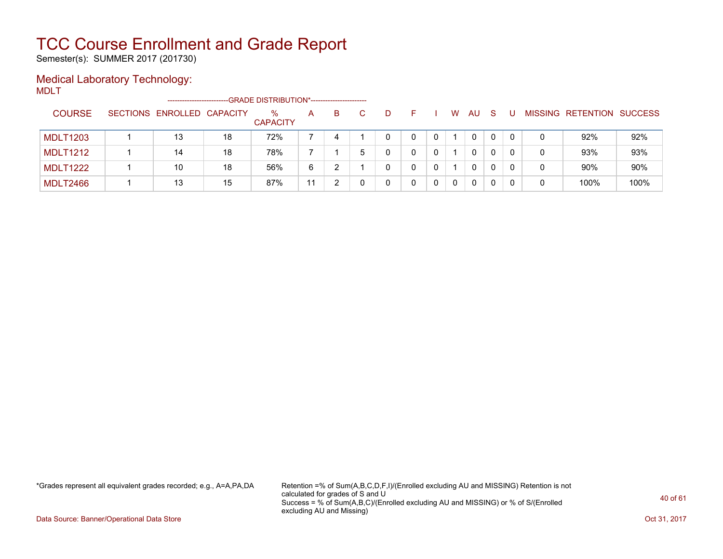Semester(s): SUMMER 2017 (201730)

### Medical Laboratory Technology:

MDLT

|                 | ------------------------   |    | --GRADE DISTRIBUTION*----------------------- |    |    |              |   |   |              |              |          |   |                           |      |
|-----------------|----------------------------|----|----------------------------------------------|----|----|--------------|---|---|--------------|--------------|----------|---|---------------------------|------|
| <b>COURSE</b>   | SECTIONS ENROLLED CAPACITY |    | $\%$<br><b>CAPACITY</b>                      | A  | B. | D            |   | W | AU           | <sub>S</sub> |          |   | MISSING RETENTION SUCCESS |      |
| <b>MDLT1203</b> | 13                         | 18 | 72%                                          |    | 4  |              | 0 |   | 0            |              | $\Omega$ | 0 | 92%                       | 92%  |
| <b>MDLT1212</b> | 14                         | 18 | 78%                                          |    |    | <sup>n</sup> | 0 |   |              |              |          | 0 | 93%                       | 93%  |
| <b>MDLT1222</b> | 10                         | 18 | 56%                                          | 6  |    | 0            | 0 |   | $\mathbf{0}$ |              | 0        | 0 | 90%                       | 90%  |
| <b>MDLT2466</b> | 13                         | 15 | 87%                                          | 11 |    |              | 0 | 0 |              |              |          | 0 | 100%                      | 100% |

\*Grades represent all equivalent grades recorded; e.g., A=A,PA,DA Retention =% of Sum(A,B,C,D,F,I)/(Enrolled excluding AU and MISSING) Retention is not calculated for grades of S and U Success = % of Sum(A,B,C)/(Enrolled excluding AU and MISSING) or % of S/(Enrolled excluding AU and Missing)

Data Source: Banner/Operational Data Store Contract Contract Contract Contract Contract Contract Contract Contract Contract Contract Contract Contract Contract Contract Contract Contract Contract Contract Contract Contract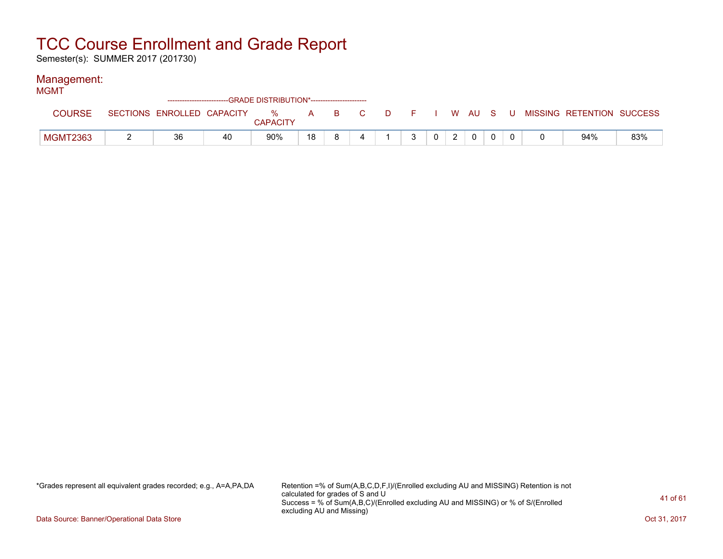Semester(s): SUMMER 2017 (201730)

#### Management:

| <b>MGMT</b> |                 |    |    | ---GRADE DISTRIBUTION*------------------------ |    |    |  |   |                |                |             |  |                                                                             |     |
|-------------|-----------------|----|----|------------------------------------------------|----|----|--|---|----------------|----------------|-------------|--|-----------------------------------------------------------------------------|-----|
|             | <b>COURSE</b>   |    |    | <b>CAPACITY</b>                                |    |    |  |   |                |                |             |  | SECTIONS ENROLLED CAPACITY % A B C D F I W AU S U MISSING RETENTION SUCCESS |     |
|             | <b>MGMT2363</b> | 36 | 40 | 90%                                            | 18 | R. |  | ર | 0 <sup>1</sup> | $\overline{2}$ | $\mathbf 0$ |  | 94%                                                                         | 83% |

\*Grades represent all equivalent grades recorded; e.g., A=A,PA,DA Retention =% of Sum(A,B,C,D,F,I)/(Enrolled excluding AU and MISSING) Retention is not calculated for grades of S and U Success = % of Sum(A,B,C)/(Enrolled excluding AU and MISSING) or % of S/(Enrolled excluding AU and Missing)

Data Source: Banner/Operational Data Store Contract Contract Contract Contract Contract Contract Contract Contract Contract Contract Contract Contract Contract Contract Contract Contract Contract Contract Contract Contract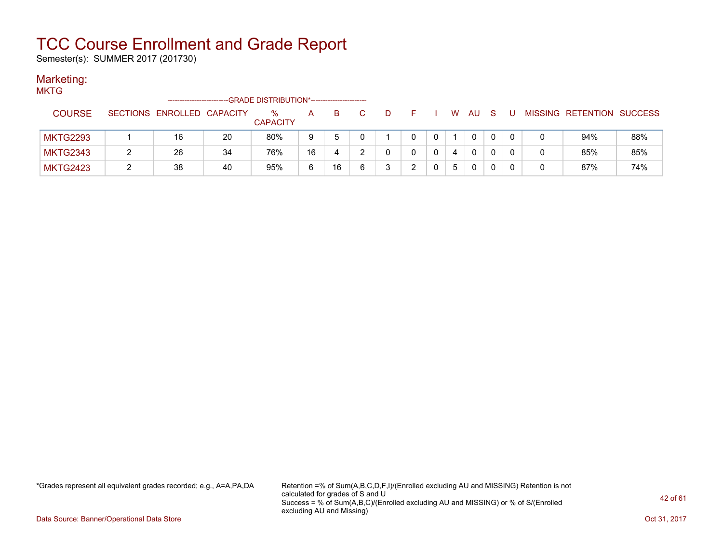Semester(s): SUMMER 2017 (201730)

#### Marketing:

**MKTG** 

|                 |                            |    | -GRADE DISTRIBUTION*----------------------- |    |    |   |    |  |   |           |              |  |                           |     |
|-----------------|----------------------------|----|---------------------------------------------|----|----|---|----|--|---|-----------|--------------|--|---------------------------|-----|
| <b>COURSE</b>   | SECTIONS ENROLLED CAPACITY |    | ℅<br><b>CAPACITY</b>                        | A  | B. |   | D. |  | W | <b>AU</b> | <sub>S</sub> |  | MISSING RETENTION SUCCESS |     |
| <b>MKTG2293</b> | 16                         | 20 | 80%                                         | 9  |    |   |    |  |   | 0         |              |  | 94%                       | 88% |
| <b>MKTG2343</b> | 26                         | 34 | 76%                                         | 16 | 4  |   |    |  | 4 | 0         |              |  | 85%                       | 85% |
| <b>MKTG2423</b> | 38                         | 40 | 95%                                         | 6  | 16 | 6 |    |  | 5 | 0         |              |  | 87%                       | 74% |

\*Grades represent all equivalent grades recorded; e.g., A=A,PA,DA Retention =% of Sum(A,B,C,D,F,I)/(Enrolled excluding AU and MISSING) Retention is not calculated for grades of S and U Success = % of Sum(A,B,C)/(Enrolled excluding AU and MISSING) or % of S/(Enrolled excluding AU and Missing)

Data Source: Banner/Operational Data Store Contract Contract Contract Contract Contract Contract Contract Contract Contract Contract Contract Contract Contract Contract Contract Contract Contract Contract Contract Contract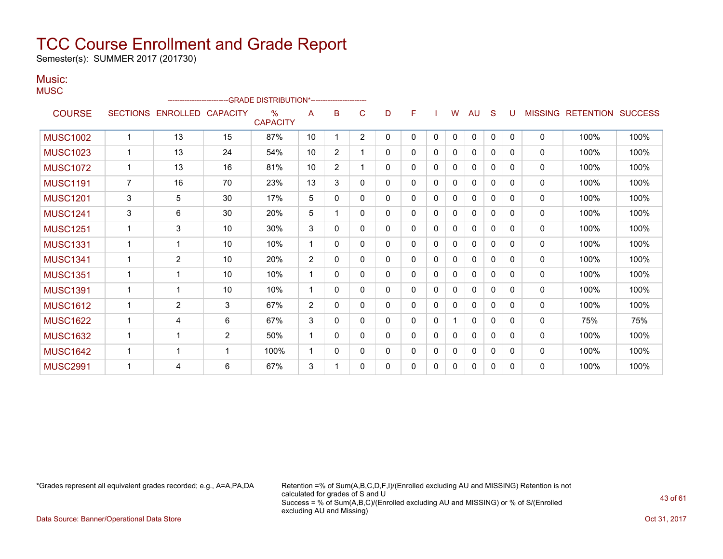Semester(s): SUMMER 2017 (201730)

#### Music: **MUSC**

|                 |                 | ------------------------ |                 | -GRADE DISTRIBUTION*---------------------- |                |                |                |   |          |          |              |              |          |          |                |                  |                |
|-----------------|-----------------|--------------------------|-----------------|--------------------------------------------|----------------|----------------|----------------|---|----------|----------|--------------|--------------|----------|----------|----------------|------------------|----------------|
| <b>COURSE</b>   | <b>SECTIONS</b> | <b>ENROLLED</b>          | <b>CAPACITY</b> | $\frac{0}{0}$<br><b>CAPACITY</b>           | A              | B              | C              | D | F        |          | W            | AU           | S        |          | <b>MISSING</b> | <b>RETENTION</b> | <b>SUCCESS</b> |
| <b>MUSC1002</b> |                 | 13                       | 15              | 87%                                        | 10             | 1              | $\overline{2}$ | 0 | $\Omega$ | $\Omega$ | 0            | $\mathbf{0}$ | $\Omega$ | $\Omega$ | $\Omega$       | 100%             | 100%           |
| <b>MUSC1023</b> |                 | 13                       | 24              | 54%                                        | 10             | $\overline{2}$ |                | 0 | 0        | 0        | 0            | $\mathbf{0}$ | 0        | $\Omega$ | 0              | 100%             | 100%           |
| <b>MUSC1072</b> |                 | 13                       | 16              | 81%                                        | 10             | $\overline{2}$ |                | 0 | 0        | 0        | 0            | $\mathbf{0}$ | 0        | 0        | 0              | 100%             | 100%           |
| <b>MUSC1191</b> | $\overline{7}$  | 16                       | 70              | 23%                                        | 13             | 3              | $\mathbf{0}$   | 0 | 0        | 0        | 0            | $\mathbf{0}$ | 0        | 0        | $\mathbf{0}$   | 100%             | 100%           |
| <b>MUSC1201</b> | 3               | 5                        | 30              | 17%                                        | 5              | $\mathbf{0}$   | $\mathbf{0}$   | 0 | 0        | 0        | 0            | 0            | 0        | 0        | $\mathbf 0$    | 100%             | 100%           |
| <b>MUSC1241</b> | 3               | 6                        | 30              | 20%                                        | 5              |                | 0              | 0 | 0        | 0        | 0            | 0            | 0        | 0        | 0              | 100%             | 100%           |
| <b>MUSC1251</b> |                 | 3                        | 10              | 30%                                        | 3              | 0              | 0              | 0 | 0        | 0        | $\mathbf{0}$ | $\mathbf{0}$ | 0        | 0        | $\mathbf{0}$   | 100%             | 100%           |
| <b>MUSC1331</b> |                 | 1                        | 10              | 10%                                        | 1              | 0              | 0              | 0 | $\Omega$ | 0        | 0            | $\mathbf{0}$ | 0        | 0        | $\Omega$       | 100%             | 100%           |
| <b>MUSC1341</b> |                 | $\overline{2}$           | 10              | 20%                                        | $\overline{2}$ | $\mathbf{0}$   | 0              | 0 | 0        | 0        | 0            | $\mathbf{0}$ | $\Omega$ | $\Omega$ | $\Omega$       | 100%             | 100%           |
| <b>MUSC1351</b> | $\mathbf{1}$    | 1                        | 10              | 10%                                        | 1              | $\Omega$       | $\Omega$       | 0 | 0        | $\Omega$ | 0            | $\mathbf{0}$ | $\Omega$ | 0        | 0              | 100%             | 100%           |
| <b>MUSC1391</b> | $\mathbf{1}$    | 1                        | 10              | 10%                                        | -1             | $\Omega$       | $\mathbf{0}$   | 0 | 0        | 0        | 0            | $\mathbf{0}$ | $\Omega$ | 0        | $\mathbf{0}$   | 100%             | 100%           |
| <b>MUSC1612</b> |                 | $\overline{2}$           | 3               | 67%                                        | $\overline{2}$ | 0              | $\Omega$       | 0 | 0        | 0        | 0            | $\Omega$     | $\Omega$ | $\Omega$ | 0              | 100%             | 100%           |
| <b>MUSC1622</b> |                 | 4                        | 6               | 67%                                        | 3              | 0              | 0              | 0 | 0        | 0        |              | $\mathbf{0}$ | $\Omega$ | 0        | 0              | 75%              | 75%            |
| <b>MUSC1632</b> |                 | 1                        | $\overline{2}$  | 50%                                        | 1              | 0              | 0              | 0 | 0        | 0        | 0            | $\mathbf{0}$ | 0        | 0        | $\mathbf{0}$   | 100%             | 100%           |
| <b>MUSC1642</b> |                 | 1                        | -1              | 100%                                       | 1              | 0              | 0              | 0 | 0        | 0        | 0            | 0            | 0        | 0        | 0              | 100%             | 100%           |
| <b>MUSC2991</b> |                 | 4                        | 6               | 67%                                        | 3              |                | 0              | 0 | 0        | 0        | 0            | 0            | 0        | 0        | 0              | 100%             | 100%           |

\*Grades represent all equivalent grades recorded; e.g., A=A,PA,DA Retention =% of Sum(A,B,C,D,F,I)/(Enrolled excluding AU and MISSING) Retention is not calculated for grades of S and U Success = % of Sum(A,B,C)/(Enrolled excluding AU and MISSING) or % of S/(Enrolled excluding AU and Missing)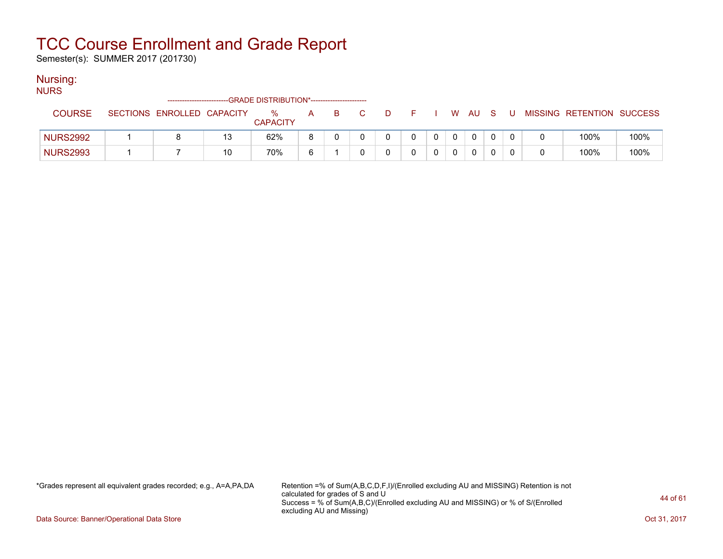Semester(s): SUMMER 2017 (201730)

#### Nursing:

NURS

| .               | ------------------------   |    | -GRADE DISTRIBUTION*---------------------- |   |  |   |      |  |        |  |          |                           |      |
|-----------------|----------------------------|----|--------------------------------------------|---|--|---|------|--|--------|--|----------|---------------------------|------|
| <b>COURSE</b>   | SECTIONS ENROLLED CAPACITY |    | ℅<br><b>CAPACITY</b>                       | A |  | D | $ -$ |  | W AU S |  |          | MISSING RETENTION SUCCESS |      |
| <b>NURS2992</b> |                            | 13 | 62%                                        | 8 |  |   |      |  |        |  |          | 100%                      | 100% |
| <b>NURS2993</b> |                            | 10 | 70%                                        | ี |  |   |      |  |        |  | $\Omega$ | 100%                      | 100% |

\*Grades represent all equivalent grades recorded; e.g., A=A,PA,DA Retention =% of Sum(A,B,C,D,F,I)/(Enrolled excluding AU and MISSING) Retention is not calculated for grades of S and U Success = % of Sum(A,B,C)/(Enrolled excluding AU and MISSING) or % of S/(Enrolled excluding AU and Missing)

Data Source: Banner/Operational Data Store Contract Contract Contract Contract Contract Contract Contract Contract Contract Contract Contract Contract Contract Contract Contract Contract Contract Contract Contract Contract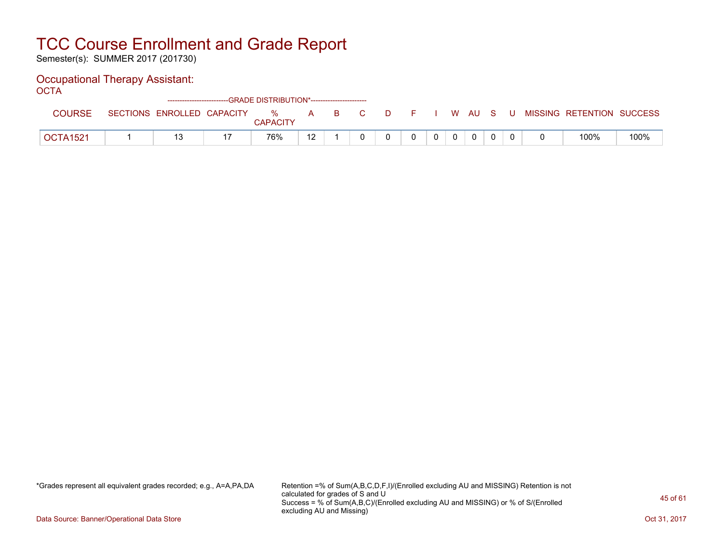Semester(s): SUMMER 2017 (201730)

### Occupational Therapy Assistant:

OCTA<sup>'</sup>

|                 |                            | ------------------------GRADE DISTRIBUTION*------------------------ |    |    |    |   |  |          |     |     |                           |      |
|-----------------|----------------------------|---------------------------------------------------------------------|----|----|----|---|--|----------|-----|-----|---------------------------|------|
| COURSE          | SECTIONS ENROLLED CAPACITY | $\%$<br><b>CAPACITY</b>                                             | A  | B. | D. |   |  | W AU     | - S | . U | MISSING RETENTION SUCCESS |      |
| <b>OCTA1521</b> |                            | 76%                                                                 | 10 |    |    | 0 |  | $\Omega$ |     |     | 100%                      | 100% |

\*Grades represent all equivalent grades recorded; e.g., A=A,PA,DA Retention =% of Sum(A,B,C,D,F,I)/(Enrolled excluding AU and MISSING) Retention is not calculated for grades of S and U Success = % of Sum(A,B,C)/(Enrolled excluding AU and MISSING) or % of S/(Enrolled excluding AU and Missing)

Data Source: Banner/Operational Data Store Contract Contract Contract Contract Contract Contract Contract Contract Contract Contract Contract Contract Contract Contract Contract Contract Contract Contract Contract Contract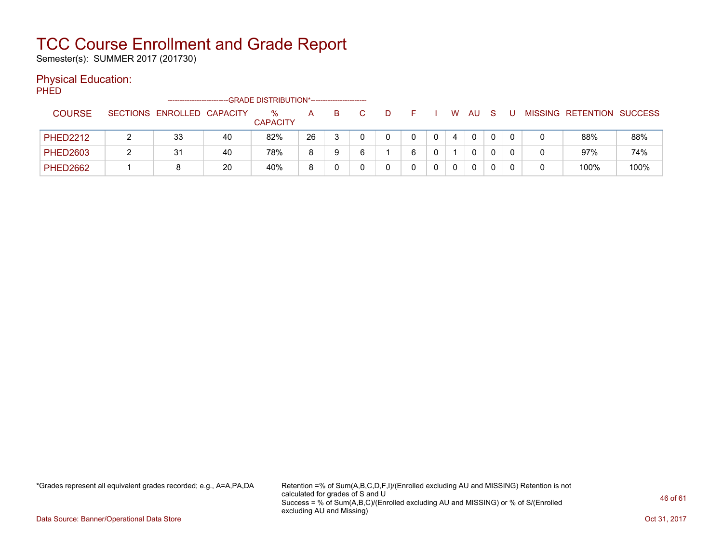Semester(s): SUMMER 2017 (201730)

#### Physical Education:

PHED

|                 | -----------------------    |    | -GRADE DISTRIBUTION*---------------------- |    |   |  |   |   |              |          |  |                           |      |
|-----------------|----------------------------|----|--------------------------------------------|----|---|--|---|---|--------------|----------|--|---------------------------|------|
| <b>COURSE</b>   | SECTIONS ENROLLED CAPACITY |    | $\%$<br><b>CAPACITY</b>                    | Α  | в |  |   | W | AU           | <b>S</b> |  | MISSING RETENTION SUCCESS |      |
| <b>PHED2212</b> | 33                         | 40 | 82%                                        | 26 |   |  |   | 4 | $\mathbf{0}$ |          |  | 88%                       | 88%  |
| <b>PHED2603</b> | 31                         | 40 | 78%                                        | 8  | a |  | 6 |   | 0            |          |  | 97%                       | 74%  |
| <b>PHED2662</b> |                            | 20 | 40%                                        | 8  |   |  |   | 0 | 0            |          |  | 100%                      | 100% |

\*Grades represent all equivalent grades recorded; e.g., A=A,PA,DA Retention =% of Sum(A,B,C,D,F,I)/(Enrolled excluding AU and MISSING) Retention is not calculated for grades of S and U Success = % of Sum(A,B,C)/(Enrolled excluding AU and MISSING) or % of S/(Enrolled excluding AU and Missing)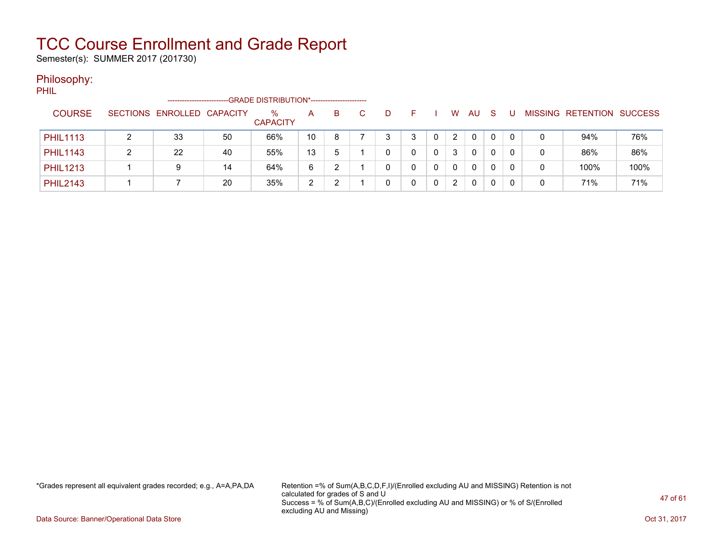Semester(s): SUMMER 2017 (201730)

#### Philosophy:

PHIL

|                 | ----------------------     |    | -GRADE DISTRIBUTION*---------------------- |    |   |   |   |                      |     |    |   |   |                   |                |
|-----------------|----------------------------|----|--------------------------------------------|----|---|---|---|----------------------|-----|----|---|---|-------------------|----------------|
| <b>COURSE</b>   | SECTIONS ENROLLED CAPACITY |    | %<br><b>CAPACITY</b>                       | A  | B | D |   | W                    | AU. | -S |   |   | MISSING RETENTION | <b>SUCCESS</b> |
| <b>PHIL1113</b> | 33                         | 50 | 66%                                        | 10 | 8 | 2 |   | 2                    | 0   | 0  | 0 |   | 94%               | 76%            |
| <b>PHIL1143</b> | 22                         | 40 | 55%                                        | 13 | 5 |   |   | 3                    | 0   | 0  |   | 0 | 86%               | 86%            |
| <b>PHIL1213</b> | 9                          | 14 | 64%                                        | 6  |   |   | 0 | $\mathbf{0}$         | 0   | 0  |   |   | 100%              | 100%           |
| <b>PHIL2143</b> |                            | 20 | 35%                                        | 2  |   |   |   | $\mathbf{2}^{\circ}$ | 0   |    |   |   | 71%               | 71%            |

\*Grades represent all equivalent grades recorded; e.g., A=A,PA,DA Retention =% of Sum(A,B,C,D,F,I)/(Enrolled excluding AU and MISSING) Retention is not calculated for grades of S and U Success = % of Sum(A,B,C)/(Enrolled excluding AU and MISSING) or % of S/(Enrolled excluding AU and Missing)

Data Source: Banner/Operational Data Store Contract Contract Contract Contract Contract Contract Contract Contract Contract Contract Contract Contract Contract Contract Contract Contract Contract Contract Contract Contract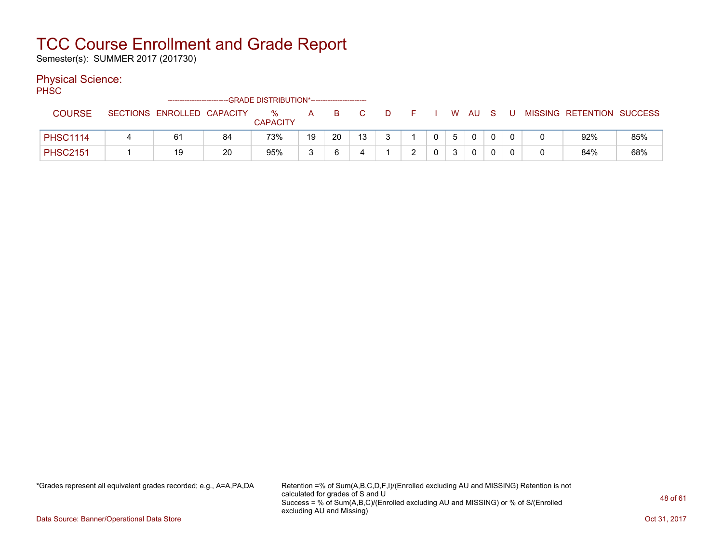Semester(s): SUMMER 2017 (201730)

#### Physical Science:

PH<sub>SC</sub>

|                 |   | -------------------------  |    | -GRADE DISTRIBUTION*---------------------- |    |    |    |   |              |   |    |   |  |                           |     |
|-----------------|---|----------------------------|----|--------------------------------------------|----|----|----|---|--------------|---|----|---|--|---------------------------|-----|
| <b>COURSE</b>   |   | SECTIONS ENROLLED CAPACITY |    | $\%$<br><b>CAPACITY</b>                    | A  | в. |    | D |              | W | AU |   |  | MISSING RETENTION SUCCESS |     |
| <b>PHSC1114</b> | 4 | 6 <sup>′</sup>             | 84 | 73%                                        | 19 | 20 | 13 |   | $\mathbf{0}$ |   |    | 0 |  | 92%                       | 85% |
| <b>PHSC2151</b> |   | 19                         | 20 | 95%                                        | ົ  |    |    |   |              |   |    | 0 |  | 84%                       | 68% |

\*Grades represent all equivalent grades recorded; e.g., A=A,PA,DA Retention =% of Sum(A,B,C,D,F,I)/(Enrolled excluding AU and MISSING) Retention is not calculated for grades of S and U Success = % of Sum(A,B,C)/(Enrolled excluding AU and MISSING) or % of S/(Enrolled excluding AU and Missing)

Data Source: Banner/Operational Data Store Contract Contract Contract Contract Contract Contract Contract Contract Contract Contract Contract Contract Contract Contract Contract Contract Contract Contract Contract Contract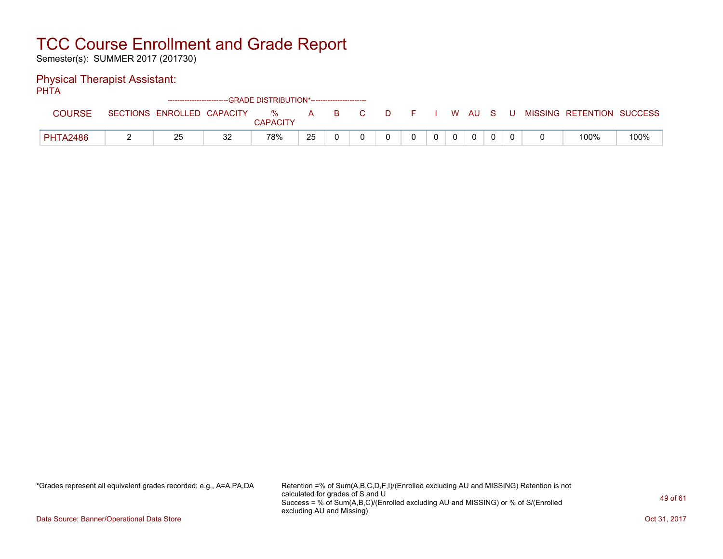Semester(s): SUMMER 2017 (201730)

### Physical Therapist Assistant:

PHTA

|                 |                 |                   |    | ------------------------GRADE DISTRIBUTION*----------------------- |    |    |  |  |   |    |  |                   |                |
|-----------------|-----------------|-------------------|----|--------------------------------------------------------------------|----|----|--|--|---|----|--|-------------------|----------------|
| <b>COURSE</b>   | <b>SECTIONS</b> | ENROLLED CAPACITY |    | %<br><b>CAPACITY</b>                                               | A  | B. |  |  | W | AU |  | MISSING RETENTION | <b>SUCCESS</b> |
| <b>PHTA2486</b> |                 | 25                | 32 | 78%                                                                | 25 |    |  |  |   | 0  |  | 100%              | 100%           |

\*Grades represent all equivalent grades recorded; e.g., A=A,PA,DA Retention =% of Sum(A,B,C,D,F,I)/(Enrolled excluding AU and MISSING) Retention is not calculated for grades of S and U Success = % of Sum(A,B,C)/(Enrolled excluding AU and MISSING) or % of S/(Enrolled excluding AU and Missing)

Data Source: Banner/Operational Data Store Contract Contract Contract Contract Contract Contract Contract Contract Contract Contract Contract Contract Contract Contract Contract Contract Contract Contract Contract Contract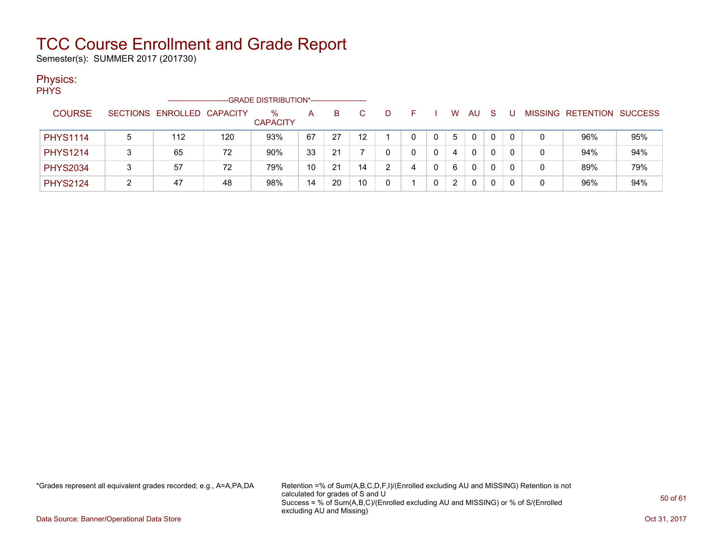Semester(s): SUMMER 2017 (201730)

### Physics:

**PHYS** 

|                 | ----------------------     |     | -GRADE DISTRIBUTION*----------------------- |    |    |                 |   |   |   |    |   |              |                   |                |
|-----------------|----------------------------|-----|---------------------------------------------|----|----|-----------------|---|---|---|----|---|--------------|-------------------|----------------|
| <b>COURSE</b>   | SECTIONS ENROLLED CAPACITY |     | $\%$<br><b>CAPACITY</b>                     | A  | B. |                 |   | ⊢ | w | AU | S |              | MISSING RETENTION | <b>SUCCESS</b> |
| <b>PHYS1114</b> | 112                        | 120 | 93%                                         | 67 | 27 | 12 <sup>1</sup> |   | 0 | 5 | 0  | 0 | $\mathbf{0}$ | 96%               | 95%            |
| <b>PHYS1214</b> | 65                         | 72  | 90%                                         | 33 | 21 |                 |   |   | 4 | 0  | 0 | 0            | 94%               | 94%            |
| <b>PHYS2034</b> | 57                         | 72  | 79%                                         | 10 | 21 | 14              | ົ | 4 | 6 | 0  | 0 | 0            | 89%               | 79%            |
| <b>PHYS2124</b> | 47                         | 48  | 98%                                         | 14 | 20 | 10              |   |   |   | 0  | 0 |              | 96%               | 94%            |

\*Grades represent all equivalent grades recorded; e.g., A=A,PA,DA Retention =% of Sum(A,B,C,D,F,I)/(Enrolled excluding AU and MISSING) Retention is not calculated for grades of S and U Success = % of Sum(A,B,C)/(Enrolled excluding AU and MISSING) or % of S/(Enrolled excluding AU and Missing)

Data Source: Banner/Operational Data Store Contract Contract Contract Contract Contract Contract Contract Contract Contract Contract Contract Contract Contract Contract Contract Contract Contract Contract Contract Contract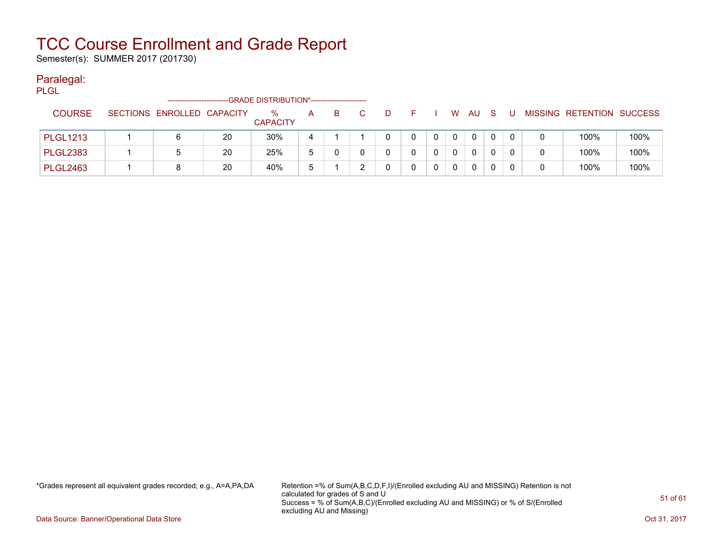Semester(s): SUMMER 2017 (201730)

#### Paralegal:

PLGL

|                 | -----------------------    |    | -GRADE DISTRIBUTION*---------------------- |   |    |              |  |          |              |              |  |                           |      |
|-----------------|----------------------------|----|--------------------------------------------|---|----|--------------|--|----------|--------------|--------------|--|---------------------------|------|
| <b>COURSE</b>   | SECTIONS ENROLLED CAPACITY |    | $\%$<br><b>CAPACITY</b>                    | A | B. | $\mathbf{D}$ |  | W.       | AU           | <sub>S</sub> |  | MISSING RETENTION SUCCESS |      |
| <b>PLGL1213</b> |                            | 20 | 30%                                        |   |    |              |  | $\Omega$ | $\mathbf{0}$ |              |  | 100%                      | 100% |
| <b>PLGL2383</b> |                            | 20 | 25%                                        | 5 |    |              |  | $\Omega$ | $\Omega$     |              |  | 100%                      | 100% |
| <b>PLGL2463</b> | 8                          | 20 | 40%                                        | ა |    |              |  | 0        | $\Omega$     |              |  | 100%                      | 100% |

\*Grades represent all equivalent grades recorded; e.g., A=A,PA,DA Retention =% of Sum(A,B,C,D,F,I)/(Enrolled excluding AU and MISSING) Retention is not calculated for grades of S and U Success = % of Sum(A,B,C)/(Enrolled excluding AU and MISSING) or % of S/(Enrolled excluding AU and Missing)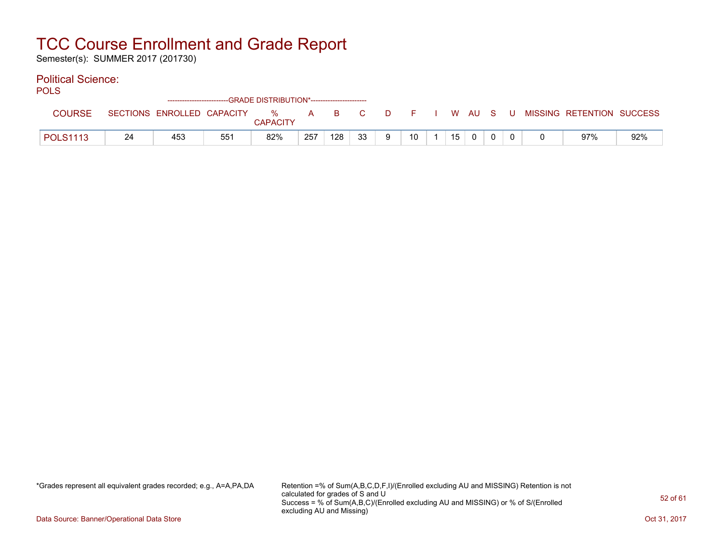Semester(s): SUMMER 2017 (201730)

### Political Science:

| m.<br>. .<br>×<br>۰. | ۰. |
|----------------------|----|
|----------------------|----|

|                 |    | -------------------------- |                 | --GRADE DISTRIBUTION*----------------------- |     |     |    |        |    |    |      |    |  |                           |     |
|-----------------|----|----------------------------|-----------------|----------------------------------------------|-----|-----|----|--------|----|----|------|----|--|---------------------------|-----|
| <b>COURSE</b>   |    | SECTIONS ENROLLED CAPACITY |                 | %<br><b>CAPACITY</b>                         | A   | B.  |    | $\Box$ |    | W. | - AU | -S |  | MISSING RETENTION SUCCESS |     |
| <b>POLS1113</b> | 24 | 453                        | 55 <sup>1</sup> | 82%                                          | 257 | 128 | っっ |        | 10 | 15 |      |    |  | 97%                       | 92% |

\*Grades represent all equivalent grades recorded; e.g., A=A,PA,DA Retention =% of Sum(A,B,C,D,F,I)/(Enrolled excluding AU and MISSING) Retention is not calculated for grades of S and U Success = % of Sum(A,B,C)/(Enrolled excluding AU and MISSING) or % of S/(Enrolled excluding AU and Missing)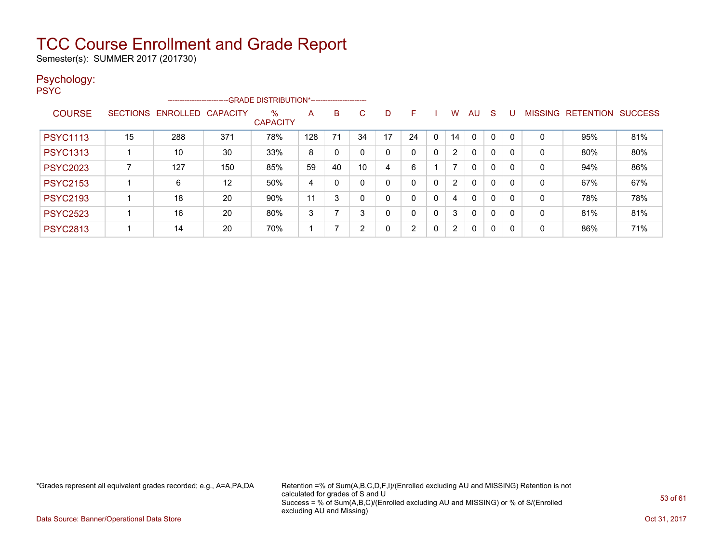Semester(s): SUMMER 2017 (201730)

#### Psychology: PSYC

|                 |    | -----------------------    |     | -GRADE DISTRIBUTION*----------------------- |     |          |    |    |    |              |                       |              |              |          |         |                  |                |
|-----------------|----|----------------------------|-----|---------------------------------------------|-----|----------|----|----|----|--------------|-----------------------|--------------|--------------|----------|---------|------------------|----------------|
| <b>COURSE</b>   |    | SECTIONS ENROLLED CAPACITY |     | $\%$<br><b>CAPACITY</b>                     | A   | B        | C. | D  | F. |              | w                     | AU           | <b>S</b>     | U        | MISSING | <b>RETENTION</b> | <b>SUCCESS</b> |
| <b>PSYC1113</b> | 15 | 288                        | 371 | 78%                                         | 128 | 71       | 34 | 17 | 24 | $\mathbf{0}$ | 14                    | 0            | 0            | $\Omega$ | 0       | 95%              | 81%            |
| <b>PSYC1313</b> |    | 10                         | 30  | 33%                                         | 8   | 0        | 0  | 0  | 0  | 0            |                       | 0            | $\mathbf{0}$ | 0        | 0       | 80%              | 80%            |
| <b>PSYC2023</b> |    | 127                        | 150 | 85%                                         | 59  | 40       | 10 | 4  | 6  |              |                       | 0            | 0            | 0        | 0       | 94%              | 86%            |
| <b>PSYC2153</b> |    | 6                          | 12  | 50%                                         | 4   | $\Omega$ | 0  | 0  | 0  | $\Omega$     | 2                     | 0            | $\mathbf{0}$ | 0        | 0       | 67%              | 67%            |
| <b>PSYC2193</b> |    | 18                         | 20  | 90%                                         | 11  | 3        | 0  | 0  | 0  | 0            | 4                     | $\mathbf{0}$ | $\mathbf{0}$ | 0        | 0       | 78%              | 78%            |
| <b>PSYC2523</b> |    | 16                         | 20  | 80%                                         | 3   |          | 3  |    | 0  | $\mathbf 0$  | 3                     | $\mathbf{0}$ | $\mathbf{0}$ | 0        | 0       | 81%              | 81%            |
| <b>PSYC2813</b> |    | 14                         | 20  | 70%                                         |     |          | 2  |    | ົ  | 0            | $\mathbf{2}^{\prime}$ | 0            | 0            | 0        | 0       | 86%              | 71%            |

\*Grades represent all equivalent grades recorded; e.g., A=A,PA,DA Retention =% of Sum(A,B,C,D,F,I)/(Enrolled excluding AU and MISSING) Retention is not calculated for grades of S and U Success = % of Sum(A,B,C)/(Enrolled excluding AU and MISSING) or % of S/(Enrolled excluding AU and Missing)

Data Source: Banner/Operational Data Store Contract Contract Contract Contract Contract Contract Contract Contract Contract Contract Contract Contract Contract Contract Contract Contract Contract Contract Contract Contract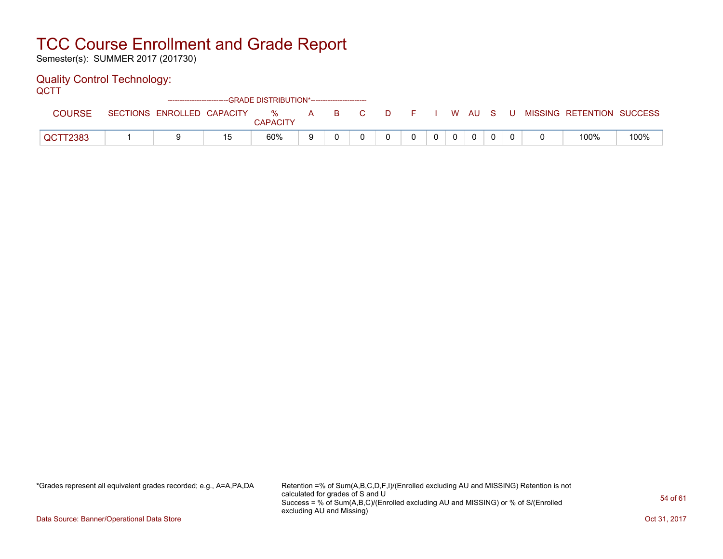Semester(s): SUMMER 2017 (201730)

### Quality Control Technology:

**QCTT** 

|               |                            |     | ------------------------GRADE DISTRIBUTION*----------------------- |              |    |    |       |          |              |          |      |                           |      |
|---------------|----------------------------|-----|--------------------------------------------------------------------|--------------|----|----|-------|----------|--------------|----------|------|---------------------------|------|
| <b>COURSE</b> | SECTIONS ENROLLED CAPACITY |     | %<br><b>CAPACITY</b>                                               | $\mathsf{A}$ | B. | C. | - D - | $\vdash$ |              | WAUS.    | - U- | MISSING RETENTION SUCCESS |      |
| QCTT2383      |                            | 1 斥 | 60%                                                                | Q            |    |    |       |          | $\mathbf{0}$ | $\Omega$ |      | 100%                      | 100% |

\*Grades represent all equivalent grades recorded; e.g., A=A,PA,DA Retention =% of Sum(A,B,C,D,F,I)/(Enrolled excluding AU and MISSING) Retention is not calculated for grades of S and U Success = % of Sum(A,B,C)/(Enrolled excluding AU and MISSING) or % of S/(Enrolled excluding AU and Missing)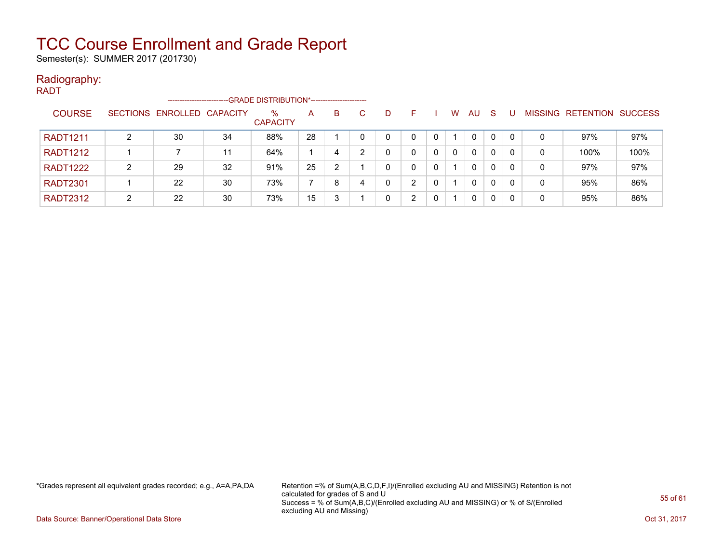Semester(s): SUMMER 2017 (201730)

#### Radiography:

| <b>RADT</b>     |   |                            |    |                                             |    |    |    |   |   |   |          |              |    |          |   |                           |      |
|-----------------|---|----------------------------|----|---------------------------------------------|----|----|----|---|---|---|----------|--------------|----|----------|---|---------------------------|------|
|                 |   | --------------------       |    | -GRADE DISTRIBUTION*----------------------- |    |    |    |   |   |   |          |              |    |          |   |                           |      |
| <b>COURSE</b>   |   | SECTIONS ENROLLED CAPACITY |    | %<br><b>CAPACITY</b>                        | A  | B. | C. | D | F |   | W.       | AU.          | -S |          |   | MISSING RETENTION SUCCESS |      |
| <b>RADT1211</b> | າ | 30                         | 34 | 88%                                         | 28 |    |    | 0 |   |   |          | 0            | 0  |          | 0 | 97%                       | 97%  |
| <b>RADT1212</b> |   |                            | 11 | 64%                                         |    | 4  | ົ  | 0 | 0 | 0 | $\Omega$ | $\mathbf{0}$ | 0  | 0        | 0 | 100%                      | 100% |
| <b>RADT1222</b> | 2 | 29                         | 32 | 91%                                         | 25 | 2  |    | 0 | 0 | 0 |          | 0            | 0  | $\Omega$ | 0 | 97%                       | 97%  |
| <b>RADT2301</b> |   | 22                         | 30 | 73%                                         |    | 8  |    | 0 | ົ | 0 |          | 0            | 0  | 0        | 0 | 95%                       | 86%  |
| <b>RADT2312</b> | 2 | 22                         | 30 | 73%                                         | 15 | 3  |    | 0 | ົ |   |          | 0            | 0  | -0       | 0 | 95%                       | 86%  |

\*Grades represent all equivalent grades recorded; e.g., A=A,PA,DA Retention =% of Sum(A,B,C,D,F,I)/(Enrolled excluding AU and MISSING) Retention is not calculated for grades of S and U Success = % of Sum(A,B,C)/(Enrolled excluding AU and MISSING) or % of S/(Enrolled excluding AU and Missing)

Data Source: Banner/Operational Data Store Contract Contract Contract Contract Contract Contract Contract Contract Contract Contract Contract Contract Contract Contract Contract Contract Contract Contract Contract Contract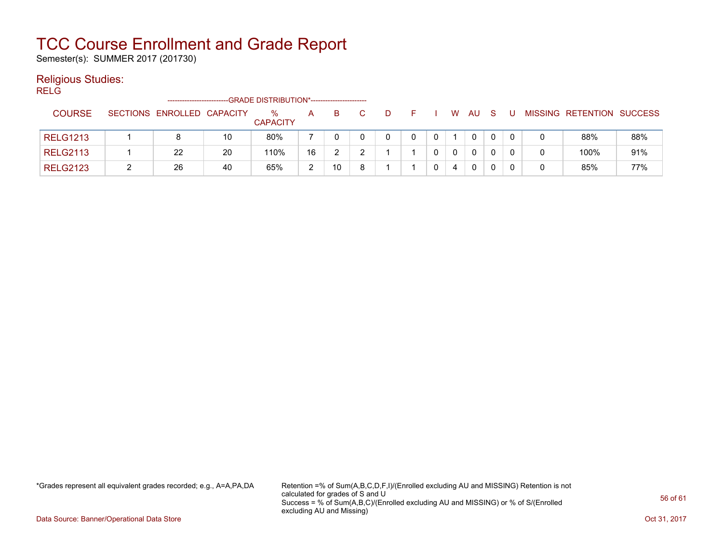Semester(s): SUMMER 2017 (201730)

#### Religious Studies:

RELG

|                 | -----------------------    |    |                         |               |    |   |  |              |    |  |                           |     |
|-----------------|----------------------------|----|-------------------------|---------------|----|---|--|--------------|----|--|---------------------------|-----|
| <b>COURSE</b>   | SECTIONS ENROLLED CAPACITY |    | $\%$<br><b>CAPACITY</b> | A             |    | D |  | W            | AU |  | MISSING RETENTION SUCCESS |     |
| <b>RELG1213</b> |                            | 10 | 80%                     |               |    |   |  |              | 0  |  | 88%                       | 88% |
| <b>RELG2113</b> | 22                         | 20 | 110%                    | 16            |    |   |  | $\mathbf{0}$ | 0  |  | 100%                      | 91% |
| <b>RELG2123</b> | 26                         | 40 | 65%                     | າ<br><u>.</u> | 10 |   |  | 4            | 0  |  | 85%                       | 77% |

\*Grades represent all equivalent grades recorded; e.g., A=A,PA,DA Retention =% of Sum(A,B,C,D,F,I)/(Enrolled excluding AU and MISSING) Retention is not calculated for grades of S and U Success = % of Sum(A,B,C)/(Enrolled excluding AU and MISSING) or % of S/(Enrolled excluding AU and Missing)

Data Source: Banner/Operational Data Store Contract Contract Contract Contract Contract Contract Contract Contract Contract Contract Contract Contract Contract Contract Contract Contract Contract Contract Contract Contract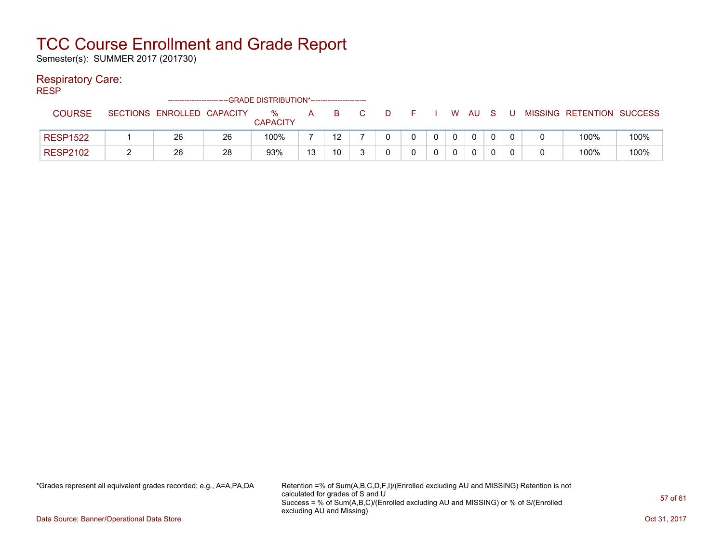Semester(s): SUMMER 2017 (201730)

#### Respiratory Care:

RESP

|                 | -------------------------- |    |                      |    |    |  |  |   |    |   |   |                           |      |
|-----------------|----------------------------|----|----------------------|----|----|--|--|---|----|---|---|---------------------------|------|
| <b>COURSE</b>   | SECTIONS ENROLLED CAPACITY |    | %<br><b>CAPACITY</b> | A  |    |  |  | W | AU | U |   | MISSING RETENTION SUCCESS |      |
| <b>RESP1522</b> | 26                         | 26 | 100%                 |    | 12 |  |  |   | 0  |   |   | 100%                      | 100% |
| <b>RESP2102</b> | 26                         | 28 | 93%                  | 13 | 10 |  |  |   | 0  |   | 0 | 100%                      | 100% |

\*Grades represent all equivalent grades recorded; e.g., A=A,PA,DA Retention =% of Sum(A,B,C,D,F,I)/(Enrolled excluding AU and MISSING) Retention is not calculated for grades of S and U Success = % of Sum(A,B,C)/(Enrolled excluding AU and MISSING) or % of S/(Enrolled excluding AU and Missing)

Data Source: Banner/Operational Data Store Contract Contract Contract Contract Contract Contract Contract Contract Contract Contract Contract Contract Contract Contract Contract Contract Contract Contract Contract Contract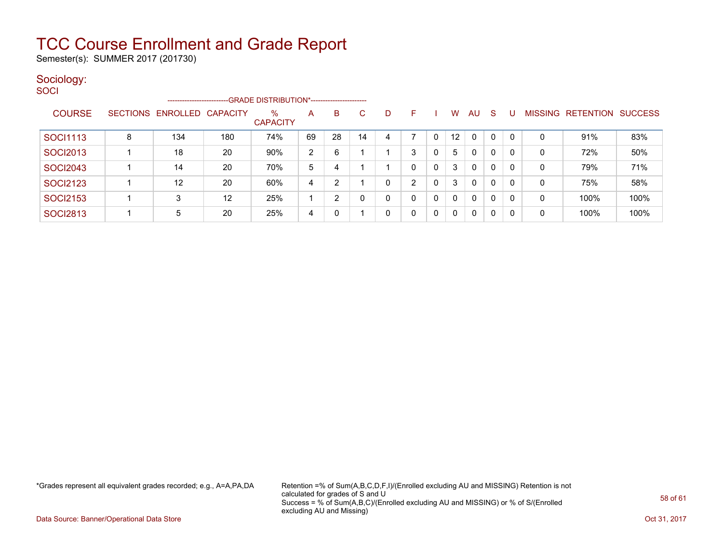Semester(s): SUMMER 2017 (201730)

### Sociology:

| SOCI            |   | -------------------------  |                   |                         |    |                |    |    |   |          |    |              |              |    |              |                   |                |
|-----------------|---|----------------------------|-------------------|-------------------------|----|----------------|----|----|---|----------|----|--------------|--------------|----|--------------|-------------------|----------------|
| <b>COURSE</b>   |   | SECTIONS ENROLLED CAPACITY |                   | $\%$<br><b>CAPACITY</b> | A  | B              | C  | D. | F |          | W  | AU           | - S          | -U |              | MISSING RETENTION | <b>SUCCESS</b> |
| <b>SOCI1113</b> | 8 | 134                        | 180               | 74%                     | 69 | 28             | 14 |    |   | 0        | 12 | $\mathbf{0}$ | 0            |    |              | 91%               | 83%            |
| <b>SOCI2013</b> |   | 18                         | 20                | 90%                     | 2  | 6              |    |    | 3 | 0        | 5  | $\mathbf 0$  | 0            | 0  | 0            | 72%               | 50%            |
| <b>SOCI2043</b> |   | 14                         | 20                | 70%                     | 5  | 4              |    |    | 0 | 0        | 3  | 0            | $\Omega$     | 0  | 0            | 79%               | 71%            |
| <b>SOCI2123</b> |   | 12                         | 20                | 60%                     | 4  | $\overline{2}$ |    | n  | 2 | $\Omega$ | 3  | $\mathbf{0}$ | $\mathbf{0}$ | 0  | $\mathbf{0}$ | 75%               | 58%            |
| <b>SOCI2153</b> |   | 3                          | $12 \overline{ }$ | 25%                     |    | $\overline{2}$ |    | Ω  | 0 | 0        | 0  | 0            | 0            | 0  | 0            | 100%              | 100%           |
| <b>SOCI2813</b> |   | 5                          | 20                | 25%                     | 4  | 0              |    |    | 0 | 0        | 0  | 0            | $\Omega$     | 0  | 0            | 100%              | 100%           |

\*Grades represent all equivalent grades recorded; e.g., A=A,PA,DA Retention =% of Sum(A,B,C,D,F,I)/(Enrolled excluding AU and MISSING) Retention is not calculated for grades of S and U Success = % of Sum(A,B,C)/(Enrolled excluding AU and MISSING) or % of S/(Enrolled excluding AU and Missing)

Data Source: Banner/Operational Data Store Contract Contract Contract Contract Contract Contract Contract Contract Contract Contract Contract Contract Contract Contract Contract Contract Contract Contract Contract Contract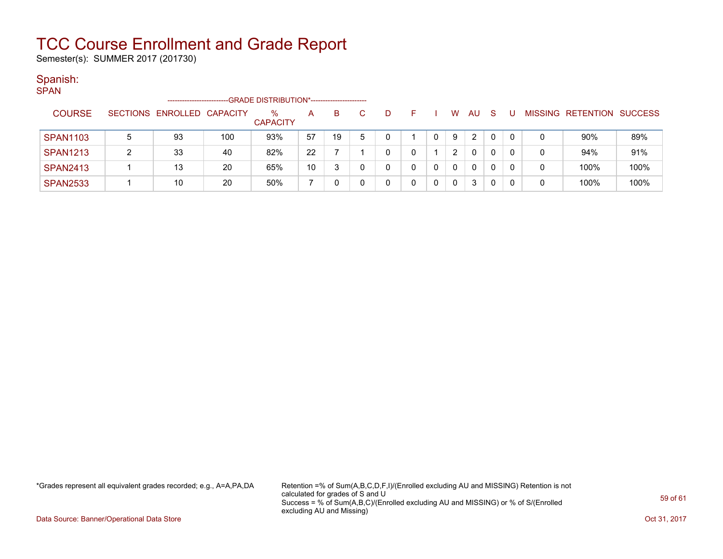Semester(s): SUMMER 2017 (201730)

#### Spanish:

SPAN

|                 | -GRADE DISTRIBUTION*----------------------<br>----------------------- |                            |     |                      |    |    |   |   |  |  |                |                |              |  |   |                   |                |
|-----------------|-----------------------------------------------------------------------|----------------------------|-----|----------------------|----|----|---|---|--|--|----------------|----------------|--------------|--|---|-------------------|----------------|
| <b>COURSE</b>   |                                                                       | SECTIONS ENROLLED CAPACITY |     | %<br><b>CAPACITY</b> | A  | B. |   | Ð |  |  | w              | AU             | <sub>S</sub> |  |   | MISSING RETENTION | <b>SUCCESS</b> |
| <b>SPAN1103</b> | 5                                                                     | 93                         | 100 | 93%                  | 57 | 19 | 5 |   |  |  | 9              | $\overline{2}$ |              |  | 0 | 90%               | 89%            |
| <b>SPAN1213</b> |                                                                       | 33                         | 40  | 82%                  | 22 |    |   |   |  |  | $\overline{2}$ | $\mathbf{0}$   |              |  | 0 | 94%               | 91%            |
| <b>SPAN2413</b> |                                                                       | 13                         | 20  | 65%                  | 10 |    |   |   |  |  | 0              | $\mathbf{0}$   |              |  | 0 | 100%              | 100%           |
| <b>SPAN2533</b> |                                                                       | 10                         | 20  | 50%                  |    |    |   |   |  |  | 0              | 3              |              |  |   | 100%              | 100%           |

\*Grades represent all equivalent grades recorded; e.g., A=A,PA,DA Retention =% of Sum(A,B,C,D,F,I)/(Enrolled excluding AU and MISSING) Retention is not calculated for grades of S and U Success = % of Sum(A,B,C)/(Enrolled excluding AU and MISSING) or % of S/(Enrolled excluding AU and Missing)

Data Source: Banner/Operational Data Store Contract Contract Contract Contract Contract Contract Contract Contract Contract Contract Contract Contract Contract Contract Contract Contract Contract Contract Contract Contract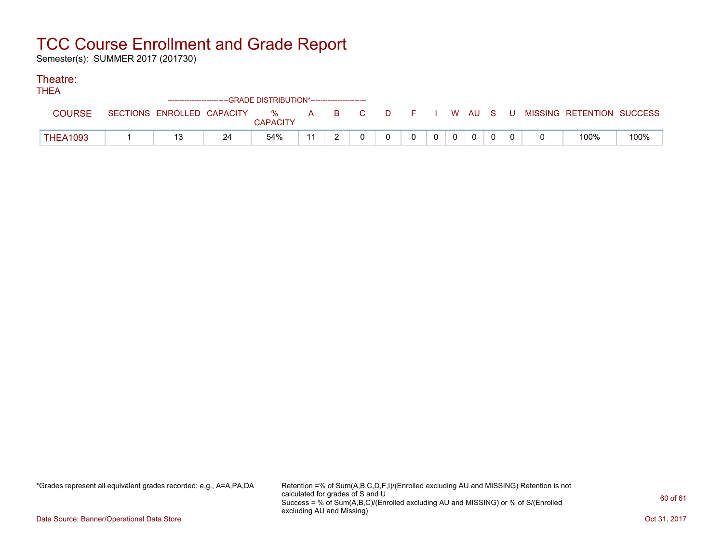Semester(s): SUMMER 2017 (201730)

#### Theatre:

| .               | ------------------------GRADE DISTRIBUTION*----------------------- |                            |    |                      |              |  |     |  |          |                |              |             |  |   |  |                           |      |
|-----------------|--------------------------------------------------------------------|----------------------------|----|----------------------|--------------|--|-----|--|----------|----------------|--------------|-------------|--|---|--|---------------------------|------|
| COURSE          |                                                                    | SECTIONS ENROLLED CAPACITY |    | %<br><b>CAPACITY</b> | $\mathsf{A}$ |  | BC. |  | DFI      |                |              | WAUS        |  | U |  | MISSING RETENTION SUCCESS |      |
| <b>THEA1093</b> |                                                                    | 13                         | 24 | 54%                  | 11           |  |     |  | $\Omega$ | $\overline{0}$ | $\mathbf{0}$ | $\mathbf 0$ |  |   |  | 100%                      | 100% |

\*Grades represent all equivalent grades recorded; e.g., A=A,PA,DA Retention =% of Sum(A,B,C,D,F,I)/(Enrolled excluding AU and MISSING) Retention is not calculated for grades of S and U Success = % of Sum(A,B,C)/(Enrolled excluding AU and MISSING) or % of S/(Enrolled excluding AU and Missing)